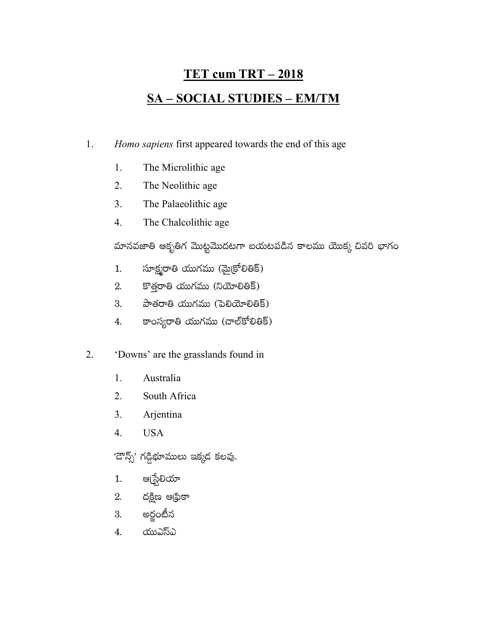## <u>TET cum TRT – 2018</u> **SA-SOCIAL STUDIES-EM/TM**

- 1. Homo sapiens first appeared towards the end of this age
	- 1. The Microlithic age
	- $2.$ The Neolithic age
	- $3<sub>1</sub>$ The Palaeolithic age
	- 4. The Chalcolithic age

మానవజాతి ఆకృతిగ మొట్టమొదటగా బయటపడిన కాలము యొక్క చివరి భాగం

- సూక్ష్మరాతి యుగము (మైక్రోలితిక్)  $1.$
- కొత్తరాతి యుగము (నియోలితిక్) 2.
- $\frac{1}{2}$ పాతరాతి యుగము (పెలియోలితిక్) 3.
- కాంస్యరాతి యుగము (చాల్కోలితిక్) 4.
- 2. 'Downs' are the grasslands found in
	- 1. Australia
	- $2.$ South Africa
	- 3. Arjentina
	- $\overline{4}$ . **USA**

'దౌన్స్' గడ్డిభూములు ఇక్కడ కలవు.

- ఆ(స్టేలియా 1.
- దక్షిణ ఆధ్రికా 2.
- అర్థంటీన 3.
- యుఎస్ఎ 4.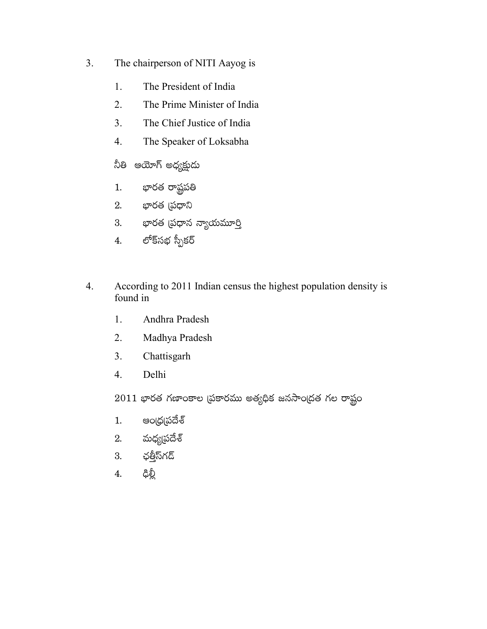- $3.$ The chairperson of NITI Aayog is
	- 1. The President of India
	- $2.$ The Prime Minister of India
	- $\overline{3}$ . The Chief Justice of India
	- $4.$ The Speaker of Loksabha
	- నీతి ఆయోగ్ అధ్యక్షుడు
	- భారత రాష్టపతి  $1.$
	- 2. భారత (పధాని
	- 3. భారత (పధాన న్యాయమూర్తి
	- లోక్సభ స్పీకర్  $\overline{4}$ .
- According to 2011 Indian census the highest population density is  $4.$ found in
	- $1.$ Andhra Pradesh
	- $2.$ Madhya Pradesh
	- $3<sub>1</sub>$ Chattisgarh
	- Delhi  $4.$
	- $2011$  భారత గణాంకాల (పకారము అతృధిక జనసాం(దత గల రాష్ట్రం
	- అంద్ర్రప్రదేశ్  $1.$
	- మధ్యప్రదేశ్  $\overline{2}$ .
	- ఛతీౖన్గద్ 3.
	- ఢిల్లీ 4.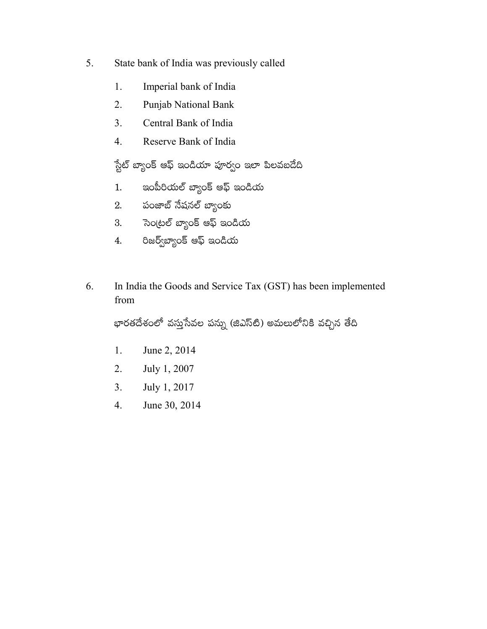- 5. State bank of India was previously called
	- 1. Imperial bank of India
	- $2.$ **Punjab National Bank**
	- $\overline{3}$ . Central Bank of India
	- $4.$ Reserve Bank of India

స్టేట్ బ్యాంక్ ఆఫ్ ఇండియా పూర్వం ఇలా పిలవబదేది

- ఇంపీరియల్ బ్యాంక్ ఆఫ్ ఇండియ  $1.$
- 2. పంజాబ్ నేషనల్ బ్యాంకు
- సెం(టల్ బ్యాంక్ ఆఫ్ ఇండియ 3.
- రిజర్వ్3్యాంక్ ఆఫ్ ఇండియ  $4.$
- 6. In India the Goods and Service Tax (GST) has been implemented from

భారతదేశంలో వస్తుసేవల పన్ను (జిఎస్టి) అమలులోనికి వచ్చిన తేది

- June 2, 2014 1.
- $2.$ July 1, 2007
- $3.$ July 1, 2017
- June 30, 2014  $4.$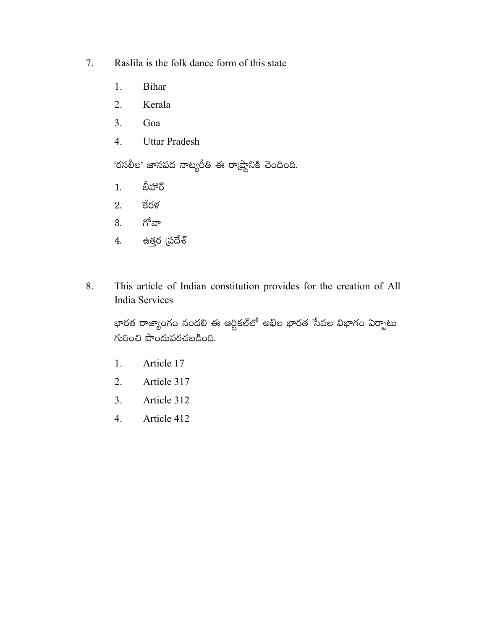- 7. Raslila is the folk dance form of this state
	- 1. **Bihar**
	- $2.$ Kerala
	- $3<sub>1</sub>$ Goa
	- $4.$ **Uttar Pradesh**

'రసలీల' జానపద నాట్యరీతి ఈ రా(ష్టానికి చెందింది.

- బీహార్  $1.$
- కేరళ 2.
- గోవా 3.
- ఉత్తర (పదేశ్  $4.$
- This article of Indian constitution provides for the creation of All 8. India Services

భారత రాజ్యాంగం నందలి ఈ ఆర్టికల్లో అఖిల భారత సేవల విభాగం ఏర్పాటు  $K$ 000  $\frac{1}{2}$   $\frac{1}{2}$   $\frac{1}{2}$   $\frac{1}{2}$   $\frac{1}{2}$   $\frac{1}{2}$   $\frac{1}{2}$   $\frac{1}{2}$   $\frac{1}{2}$   $\frac{1}{2}$   $\frac{1}{2}$   $\frac{1}{2}$   $\frac{1}{2}$   $\frac{1}{2}$   $\frac{1}{2}$   $\frac{1}{2}$   $\frac{1}{2}$   $\frac{1}{2}$   $\frac{1}{2}$   $\frac{1}{2}$   $\frac{1}{2}$   $\frac{$ 

- Article 17  $1.$
- Article 317  $2.$
- Article 312  $3.$
- $4.$ Article 412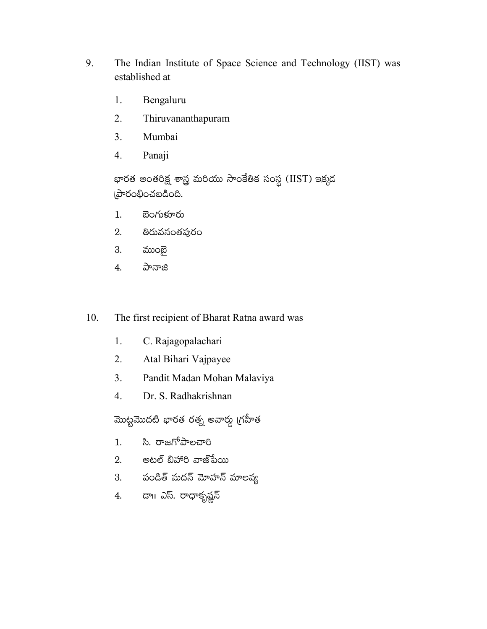- 9. The Indian Institute of Space Science and Technology (IIST) was established at
	- 1. Bengaluru
	- $2.$ Thiruvananthapuram
	- $3<sub>1</sub>$ Mumbai
	- $\overline{4}$ . Panaji

భారత అంతరిక్ష శాస్త్ర మరియు సాంకేతిక సంస్థ (IIST) ఇక్కడ ကဲတစ်ပါးစင်းဝင်း

- $1.$ బెంగుళూరు
- 2. తిరువనంతపురం
- 3. ముంబై
- పానాజి 4.
- The first recipient of Bharat Ratna award was 10.
	- C. Rajagopalachari 1.
	- $2.$ Atal Bihari Vajpayee
	- $3.$ Pandit Madan Mohan Malaviya
	- $\overline{4}$ . Dr. S. Radhakrishnan

మొట్టమొదటి భారత రత్న అవార్డు (గహీత

- సి. రాజగోపాలచారి  $1.$
- 2. అటల్ బిహారి వాజ్ పేయి
- 3. పండిత్ మదన్ మోహన్ మాలవ్య
- 4. డా။ ఎస్. రాధాకృష్ణన్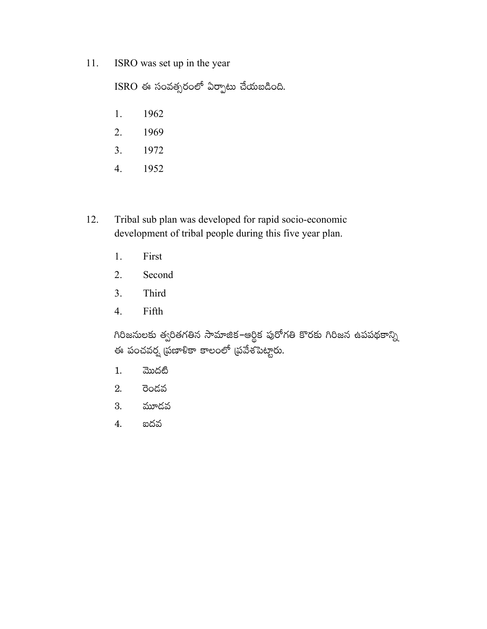11. ISRO was set up in the year

ISRO ఈ సంవత్సరంలో ఏర్పాటు చేయబడింది.

- 1962 1.
- $2.$ 1969
- $3<sub>1</sub>$ 1972
- 1952  $4.$
- Tribal sub plan was developed for rapid socio-economic 12. development of tribal people during this five year plan.
	- 1. First
	- 2. Second
	- $3<sub>1</sub>$ Third
	- $4.$ Fifth

గిరిజనులకు త్వరితగతిన సామాజిక–ఆర్థిక పురోగతి కొరకు గిరిజన ఉపపథకాన్ని ఈ పంచవర్ష (పణాళికా కాలంలో (పవేశపెట్టారు.

- మొదటి  $1.$
- $2.$ రెండవ
- 3. మూదవ
- 4. ఐదవ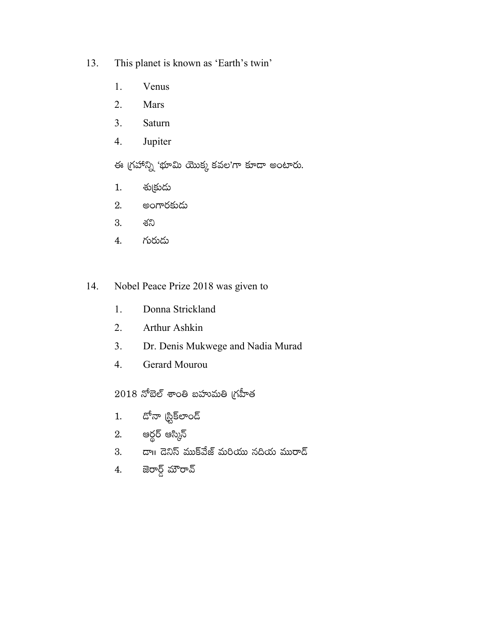- This planet is known as 'Earth's twin' 13.
	- 1. Venus
	- $2.$ Mars
	- $\overline{3}$ . Saturn
	- $4.$ Jupiter

ఈ గ్రహాన్ని 'భూమి యొక్క కవల'గా కూడా అంటారు.

- శు(కుడు  $1.$
- అంగారకుడు 2.
- 3. శని
- గురుడు 4.
- Nobel Peace Prize 2018 was given to 14.
	- Donna Strickland 1.
	- $2.$ Arthur Ashkin
	- Dr. Denis Mukwege and Nadia Murad  $3.$
	- $\overline{4}$ . Gerard Mourou

 $2018$  నోబెల్ శాంతి బహుమతి గ్రహీత

- దోనా (ప్టిక్లాండ్  $1.$
- 2. ఆర్థర్ ఆస్కిన్
- 3. డా။ డెనిస్ ముక్వేజ్ మరియు నదియ మురాద్
- జెరార్డ్ మౌరావ్  $4.$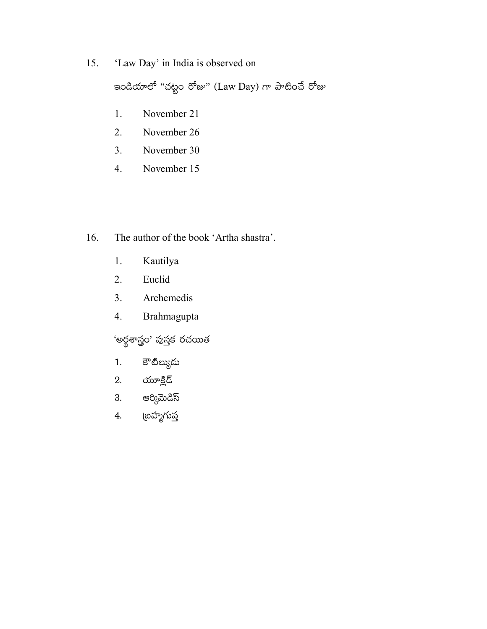15. 'Law Day' in India is observed on

ఇండియాలో "చట్టం రోజు" (Law Day) గా పాటించే రోజు

- November 21 1.
- $2.$ November 26
- $3.$ November 30
- $\overline{4}$ . November 15
- 16. The author of the book 'Artha shastra'.
	- Kautilya 1.
	- Euclid 2.
	- Archemedis  $3.$
	- $4.$ Brahmagupta

'అర్థశాస్త్రం' పుస్తక రచయిత

- కౌటిల్యుదు  $1.$
- యూక్లిడ్ 2.
- అర్కిమెడిస్ 3.
- అహ్మగు<u>ప</u>  $4.$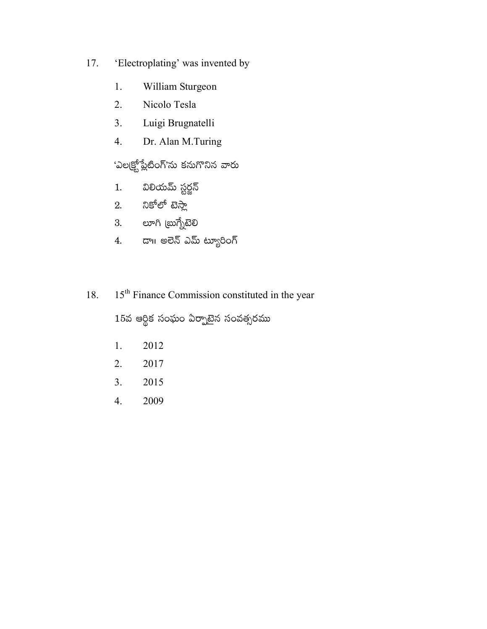- 17. 'Electroplating' was invented by
	- William Sturgeon 1.
	- $2.$ Nicolo Tesla
	- $3.$ Luigi Brugnatelli
	- $4.$ Dr. Alan M.Turing

'ఎలక్ర్టోప్లేటింగ్'ను కనుగొనిన వారు

- విలియమ్ స్టర్జన్  $1.$
- 2. నికోలో టెస్లా
- 3. లూగి (బుగ్నేటెలి
- దాగి అలెన్ ఎమ్ ట్యూరింగ్  $4.$
- 15<sup>th</sup> Finance Commission constituted in the year 18.

 $15$ వ ఆర్థిక సంఘం ఏర్పాటైన సంవత్సరము

- 2012  $1.$
- 2017 2.
- $3.$ 2015
- $4.$ 2009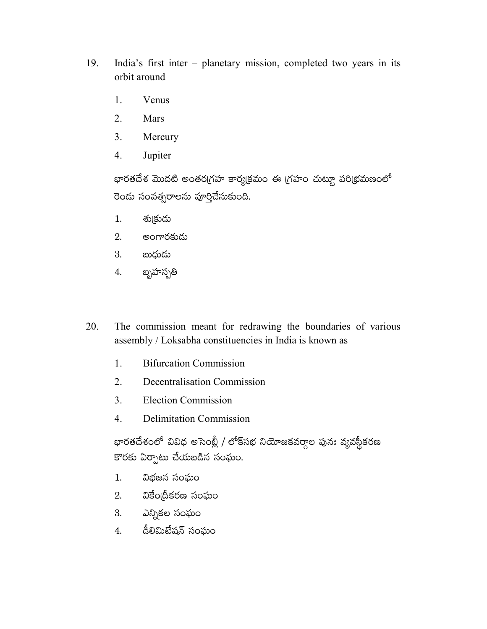- 19. India's first inter - planetary mission, completed two years in its orbit around
	- 1. Venus
	- $2.$ Mars
	- Mercury 3.
	- $\overline{4}$ . Jupiter

భారతదేశ మొదటి అంతరగ్రహ కార్యక్రమం ఈ గ్రహం చుట్టూ పరిథ్రమణంలో రెండు సంవత్సరాలను పూర్తిచేసుకుంది.

- శు(కుదు  $1.$
- అంగారకుడు 2.
- బుధుదు 3.
- బ్బహస్పతి 4.
- The commission meant for redrawing the boundaries of various 20. assembly / Loksabha constituencies in India is known as
	- **Bifurcation Commission** 1.
	- $2<sub>1</sub>$ Decentralisation Commission
	- $3<sub>1</sub>$ **Election Commission**
	- $\overline{4}$ . **Delimitation Commission**

భారతదేశంలో వివిధ అసెంబ్లీ / లోక్సభ నియోజకవర్గాల పునః వ్యవస్థీకరణ కొరకు ఏర్పాటు చేయబడిన సంఘం.

- విభజన సంఘం  $1<sub>1</sub>$
- వికేం@దీకరణ సంఘం  $2.$
- ఎన్నికల సంఘం 3.
- డీలిమిటేషన్ సంఘం 4.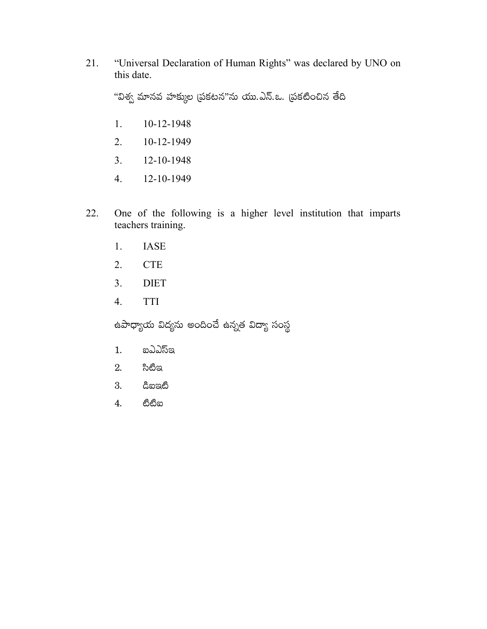"Universal Declaration of Human Rights" was declared by UNO on 21. this date.

"విశ్వ మానవ హక్కుల (పకటన"ను యు.ఎస్.ఒ. (పకటించిన తేది

- $1.$ 10-12-1948
- $2.$ 10-12-1949
- $3.$ 12-10-1948
- 12-10-1949 4.
- 22. One of the following is a higher level institution that imparts teachers training.
	- **IASE** 1.
	- $\ensuremath{\mathsf{CTE}}$ 2.
	- $3<sub>1</sub>$ **DIET**
	- $\overline{4}$ . **TTI**

ఉపాధ్యాయ విద్యను అందించే ఉన్నత విద్యా సంస్థ

- $1.$ ఐఎఎస్ఇ
- 2. సిటీఇ
- 3. ඨිහපුඟී
- තීතීන 4.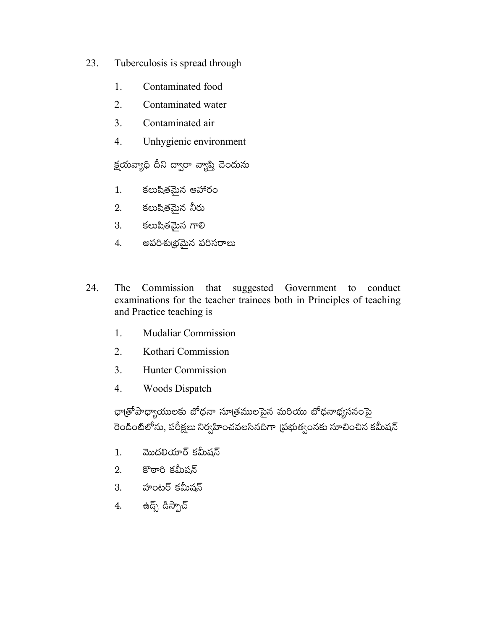- 23. Tuberculosis is spread through
	- 1. Contaminated food
	- $2<sub>1</sub>$ Contaminated water
	- $\overline{3}$ . Contaminated air
	- Unhygienic environment  $\overline{4}$ .

క్షయవ్యాధి దీని ద్వారా వ్యాప్తి చెందును

- కలుషితమైన ఆహారం  $1.$
- 2. కలుషితమైన నీరు
- కలుషితమైన గాలి 3.
- అపరిశుభ్రమైన పరిసరాలు 4.
- 24. The Commission that suggested Government to conduct examinations for the teacher trainees both in Principles of teaching and Practice teaching is
	- **Mudaliar Commission**  $1.$
	- $\overline{2}$ . Kothari Commission
	- $3<sub>1</sub>$ **Hunter Commission**
	- 4. **Woods Dispatch**

ఛా(తోపాధ్యాయులకు బోధనా సూ(తములపైన మరియు బోధనాభ్యసనంపై రెండింటిలోను, పరీక్షలు నిర్వహించవలసినదిగా (పభుత్వంనకు సూచించిన కమీషన్

- మొదలియార్ కమీషన్  $1.$
- కొఠారి కమీషన్ 2.
- 3. హంటర్ కమీషన్
- ఉద్స్ డిస్పాచ్ 4.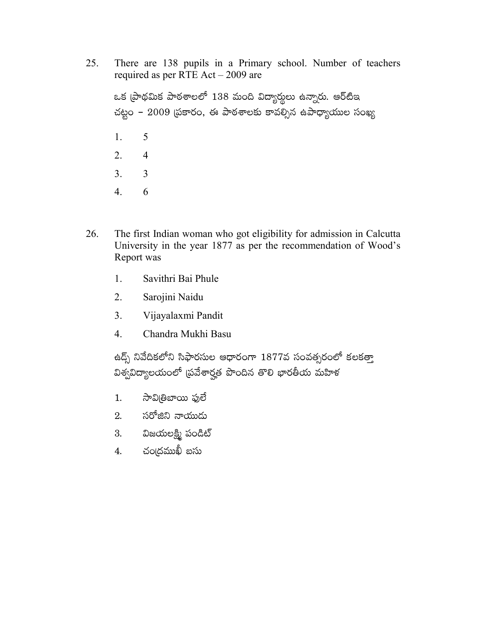25. There are 138 pupils in a Primary school. Number of teachers required as per RTE Act - 2009 are

ఒక (పాథమిక పాఠశాలలో 138 మంది విద్యార్థులు ఉన్నారు. ఆర్టిఇ చట్టం – 2009 (పకారం, ఈ పాఠశాలకు కావల్సిన ఉపాధ్యాయుల సంఖ్య  $1.$ 5  $\overline{2}$ .  $\overline{4}$  $\overline{3}$ .  $\overline{3}$  $4.$ 6

- 26. The first Indian woman who got eligibility for admission in Calcutta University in the year 1877 as per the recommendation of Wood's Report was
	- 1. Savithri Bai Phule
	- $2.$ Sarojini Naidu
	- $3<sub>1</sub>$ Vijayalaxmi Pandit
	- $\overline{4}$ . Chandra Mukhi Basu

ఉద్స్ నివేదికలోని సిఫారసుల ఆధారంగా  $1877$ వ సంవత్సరంలో కలకత్తా విశ్వవిద్యాలయంలో (పవేశార్హత పొందిన తొలి భారతీయ మహిళ

- సావి(తిబాయి ఫులే  $1.$
- సరోజిని నాయుడు  $2.$
- విజయలక్ష్మి పండిట్ 3.
- చంఁదముఖీ బసు  $\overline{4}$ .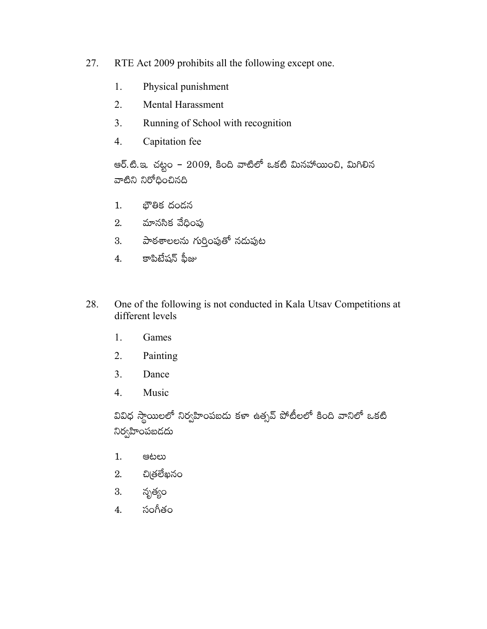- 27. RTE Act 2009 prohibits all the following except one.
	- 1. Physical punishment
	- **Mental Harassment**  $2<sub>1</sub>$
	- $\overline{3}$ . Running of School with recognition
	- $4.$ Capitation fee

ఆర్.టి.ఇ. చట్టం – 2009, కింది వాటిలో ఒకటి మినహాయించి, మిగిలిన వాటిని నిరోధించినది

- $1.$ భౌతిక దండన
- $2.$  మానసిక వేధింపు
- 3. పాఠశాలలను గుర్తింపుతో నదుపుట
- కాపిటేషన్ ఫీజు 4.
- One of the following is not conducted in Kala Utsav Competitions at 28. different levels
	- $1.$ Games
	- $\overline{2}$ . Painting
	- 3. Dance
	- 4. Music

వివిధ స్థాయిలలో నిర్వహింపబదు కళా ఉత్సవ్ పోటీలలో కింది వానిలో ఒకటి నిర్వహింపబడదు

- $1.$ ಆಟಲು
- చిౖతలేఖనం 2.
- నృత్యం 3.
- సంగీతం 4.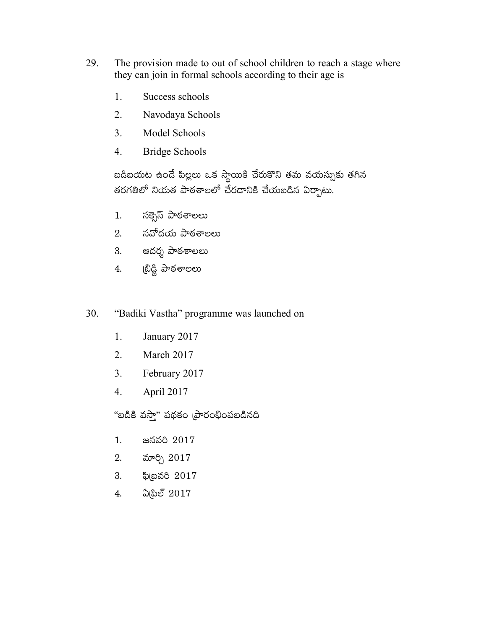- 29. The provision made to out of school children to reach a stage where they can join in formal schools according to their age is
	- 1. Success schools
	- $2<sub>1</sub>$ Navodaya Schools
	- $3<sub>1</sub>$ Model Schools
	- **Bridge Schools**  $4.$

బడిబయట ఉండే పిల్లలు ఒక స్థాయికి చేరుకొని తమ వయస్సుకు తగిన తరగతిలో నియత పాఠశాలలో చేరడానికి చేయబడిన ఏర్పాటు.

- సక్సెస్ పాఠశాలలు  $1<sub>1</sub>$
- నవోదయ పాఠశాలలు  $2<sub>1</sub>$
- 3. ఆదర్శ పాఠశాలలు
- ట్రిడ్జి పాఠశాలలు 4.
- 30. "Badiki Vastha" programme was launched on
	- January 2017 1.
	- $\overline{2}$ . March 2017
	- February 2017  $3<sub>1</sub>$
	- $4.$ April 2017

"బడికి వస్తా" పథకం (పారంభింపబడినది

- 1. జనవరి 2017
- మార్చి 2017 2.
- ఫి(బవరి 2017 3.
- ఏ(పిల్ 2017 4.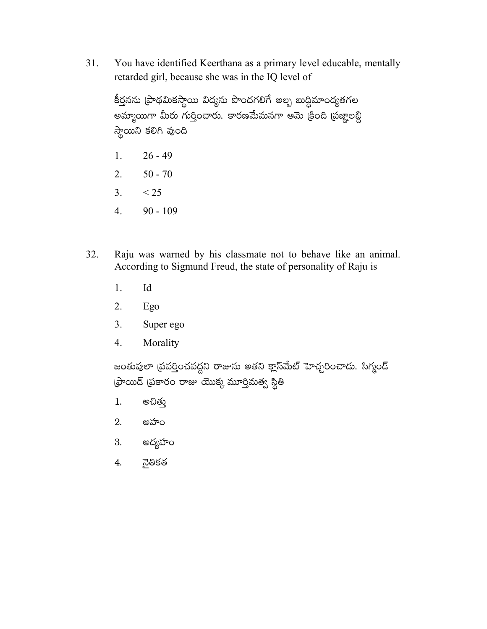You have identified Keerthana as a primary level educable, mentally 31. retarded girl, because she was in the IQ level of

కీర్తనను (పాథమికస్థాయి విద్యను పొందగలిగే అల్ప బుద్ధిమాంద్యతగల అమ్మాయిగా మీరు గుర్తించారు. కారణమేమనగా ఆమె క్రింది (పజ్ఞాలబ్ది స్థాయిని కలిగి వుంది

- $26 49$  $1<sub>1</sub>$
- $2.$  $50 - 70$
- $3.$  $<$  25
- $90 109$  $4.$
- Raju was warned by his classmate not to behave like an animal. 32. According to Sigmund Freud, the state of personality of Raju is
	- 1. Id
	- 2. Ego
	- $3<sub>1</sub>$ Super ego
	- $\overline{4}$ . Morality

జంతువులా (పవర్తించవద్దని రాజును అతని క్లాస్మేట్ హెచ్చరించాదు. సిగ్మంద్ ఫ్రాయిడ్ (పకారం రాజు యొక్క మూర్తిమత్వ స్థితి

- అచితు  $1.$
- 2. అహం
- 3. అద్యహం
- నైతికత 4.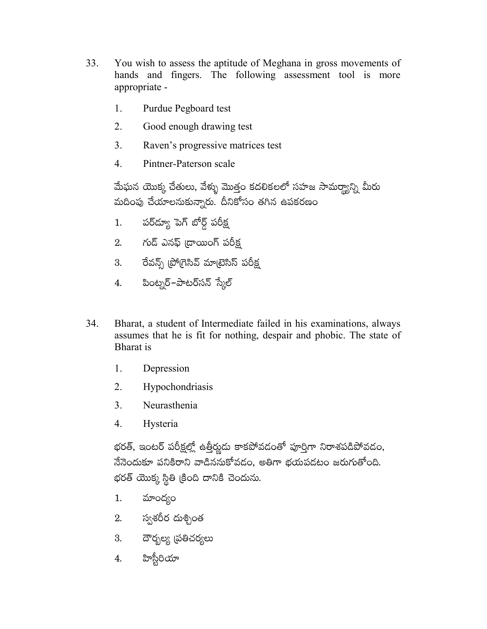- 33. You wish to assess the aptitude of Meghana in gross movements of hands and fingers. The following assessment tool is more appropriate -
	- 1. Purdue Pegboard test
	- 2. Good enough drawing test
	- $3<sub>1</sub>$ Raven's progressive matrices test
	- $\overline{4}$ Pintner-Paterson scale

మేఘన యొక్క చేతులు, వేళ్ళు మొత్తం కదలికలలో సహజ సామర్యాన్ని మీరు మదింపు చేయాలనుకున్నారు. దీనికోసం తగిన ఉపకరణం

- పర్ద్యూ పెగ్ బోర్డ్ పరీక్ష  $1.$
- 2. గుడ్ ఎనఫ్ (డాయింగ్ పరీక్ష
- 3. రేవన్స్ (పోగ్రెసివ్ మాట్రెసిస్ పరీక్ష
- 4. పింట్నర్–పాటర్సన్ స్మేల్
- 34. Bharat, a student of Intermediate failed in his examinations, always assumes that he is fit for nothing, despair and phobic. The state of Bharat is
	- $1_{-}$ Depression
	- $2.$ Hypochondriasis
	- $3<sub>1</sub>$ Neurasthenia
	- 4. Hysteria

భరత్, ఇంటర్ పరీక్షల్లో ఉత్తీర్ణుదు కాకపోవదంతో పూర్తిగా నిరాశపడిపోవడం, నేనెందుకూ పనికిరాని వాడిననుకోవడం, అతిగా భయపడటం జరుగుతోంది. భరత్ యొక్క స్థితి (కింది దానికి చెందును.

- మాంద్యం 1.
- 2. స్వశరీర దుశ్చింత
- 3. దౌర్భల్య (పతిచర్యలు
- హిస్టీరియా 4.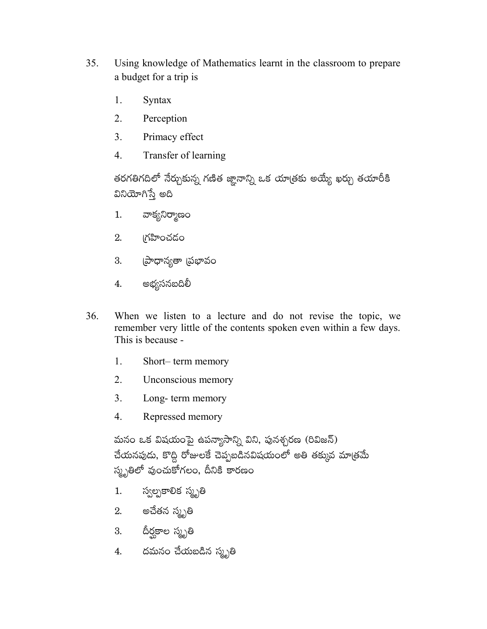- 35. Using knowledge of Mathematics learnt in the classroom to prepare a budget for a trip is
	- 1. Syntax
	- $2.$ Perception
	- 3. Primacy effect
	- $\overline{4}$ Transfer of learning

తరగతిగదిలో నేర్చుకున్న గణిత జ్ఞానాన్ని ఒక యాత్రకు అయ్యే ఖర్చు తయారీకి వినియోగిస్తే అది

- వాక్యనిర్మాణం  $1.$
- గహించడం  $2.$
- 3. (పాధాన్యతా (పభావం
- అభ్యసనబదిలీ 4.
- When we listen to a lecture and do not revise the topic, we 36. remember very little of the contents spoken even within a few days. This is because -
	- 1. Short-term memory
	- $2.$ Unconscious memory
	- $3<sub>1</sub>$ Long-term memory
	- $\overline{4}$ . Repressed memory

మనం ఒక విషయంపై ఉపన్యాసాన్ని విని, పునశ్చరణ (రివిజన్) చేయనపుడు, కొద్ది రోజులకే చెప్పబడినవిషయంలో అతి తక్కువ మాత్రమే స్మృతిలో వుంచుకోగలం, దీనికి కారణం

- స్వల్పకాలిక స్మృతి  $1.$
- 2. అచేతన స్మృతి
- 3. దీర్ఘకాల స్మృతి
- 4. దమనం చేయబడిన స్మృతి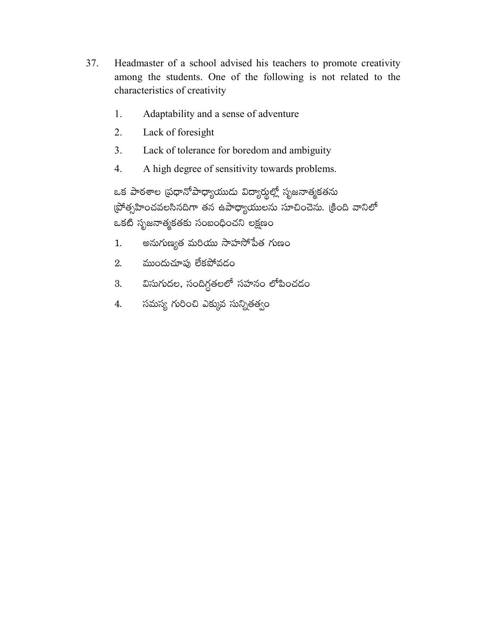- 37. Headmaster of a school advised his teachers to promote creativity among the students. One of the following is not related to the characteristics of creativity
	- 1. Adaptability and a sense of adventure
	- $2.$ Lack of foresight
	- $3<sub>1</sub>$ Lack of tolerance for boredom and ambiguity
	- A high degree of sensitivity towards problems.  $\overline{4}$ .

ఒక పాఠశాల (పధానోపాధ్యాయుడు విద్యార్శల్లో సృజనాత్మకతను (పోత్సహించవలసినదిగా తన ఉపాధ్యాయులను సూచించెను. (కింది వానిలో ఒకటి సృజనాత్మకతకు సంబంధించని లక్షణం

- అనుగుణ్యత మరియు సాహసోపేత గుణం 1.
- ముందుచూఫు లేకపోవడం 2.
- విసుగుదల, సందిగ్ధతలలో సహనం లోపించడం 3.
- సమస్య గురించి ఎక్కువ సున్నితత్వం 4.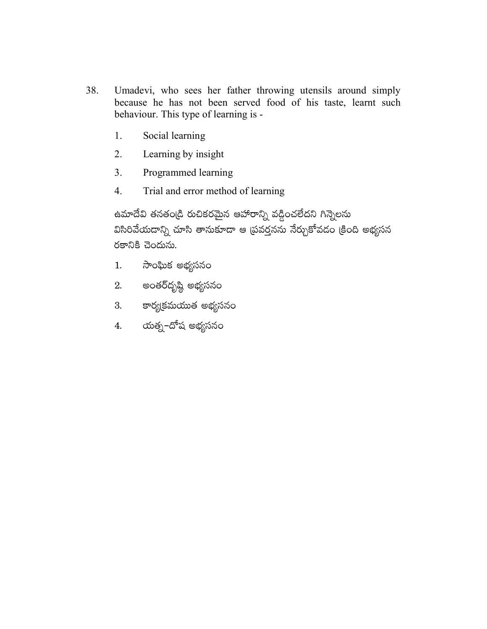- 38. Umadevi, who sees her father throwing utensils around simply because he has not been served food of his taste, learnt such behaviour. This type of learning is -
	- Social learning 1.
	- $2.$ Learning by insight
	- $3<sub>1</sub>$ Programmed learning
	- $\overline{4}$ . Trial and error method of learning

ఉమాదేవి తనతండ్రి రుచికరమైన ఆహారాన్ని వడ్డించలేదని గిన్నెలను విసిరివేయదాన్ని చూసి తానుకూడా ఆ (పవర్తనను నేర్చుకోవడం (కింది అభ్యసన రకానికి చెందును.

- సాంఘిక అభ్యసనం  $1.$
- 2. అంతర్దృష్ఠి అభ్యసనం
- 3. కార్యక్రమయుత అభ్యసన<mark>ం</mark>
- 4. యత్న–దోష అభ్యసనం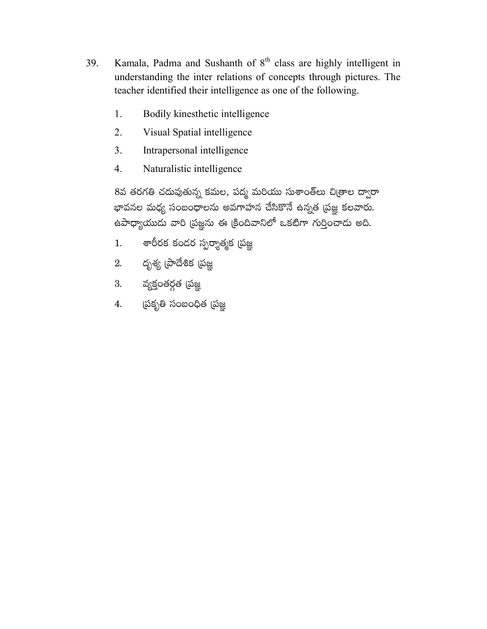- Kamala, Padma and Sushanth of 8<sup>th</sup> class are highly intelligent in 39. understanding the inter relations of concepts through pictures. The teacher identified their intelligence as one of the following.
	- 1. Bodily kinesthetic intelligence
	- $2.$ Visual Spatial intelligence
	- $3<sub>1</sub>$ Intrapersonal intelligence
	- $\overline{4}$ . Naturalistic intelligence

8వ తరగతి చదువుతున్న కమల, పద్మ మరియు సుశాంత్అు చిఱ్రాల ద్వారా భావనల మధ్య సంబంధాలను అవగాహన చేసికొనే ఉన్నత (పజ్ఞ కలవారు. ఉపాధ్యాయుదు వారి (పజ్ఞను ఈ క్రిందివానిలో ఒకటిగా గుర్తించాదు అది.

- శారీరక కందర స్పర్శాత్మక (పజ్ఞ  $1.$
- దృశ్య (పాదేశిక (పజ్ఞ 2.
- 3. వ్యక్తంతర్గత (పజ్ఞ
- 4. స్ట్రకృతి సంబంధిత (పజ్ఞ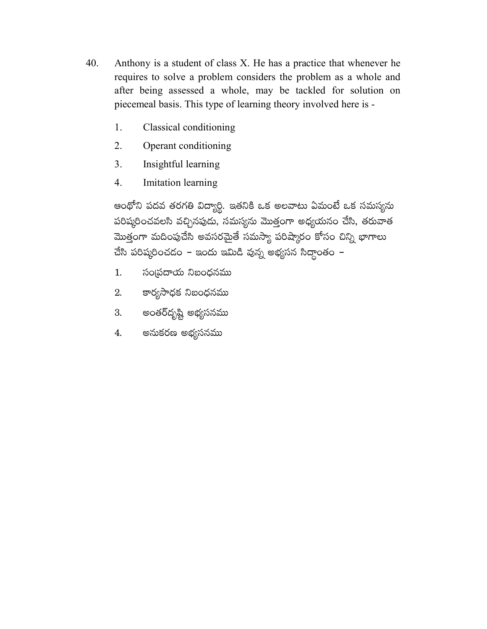- 40. Anthony is a student of class X. He has a practice that whenever he requires to solve a problem considers the problem as a whole and after being assessed a whole, may be tackled for solution on piecemeal basis. This type of learning theory involved here is -
	- 1. Classical conditioning
	- 2. Operant conditioning
	- $3<sub>1</sub>$ Insightful learning
	- $\overline{4}$ . Imitation learning

ఆంథోని పదవ తరగతి విద్యార్థి. ఇతనికి ఒక అలవాటు ఏమంటే ఒక సమస్యను పరిష్కరించవలసి వచ్చినపుడు, సమస్యను మొత్తంగా అధ్యయనం చేసి, తరువాత మొత్తంగా మదింపుచేసి అవసరమైతే సమస్యా పరిష్కారం కోసం చిన్ని భాగాలు చేసి పరిష్కరించదం – ఇందు ఇమిడి వున్న అభ్యసన సిద్ధాంతం –

- సంప్రదాయ నిబంధనము 1.
- కార్యసాధక నిబంధనము 2.
- అంతర్దృష్టి అభ్యసనము 3.
- అనుకరణ అభ్యసనము 4.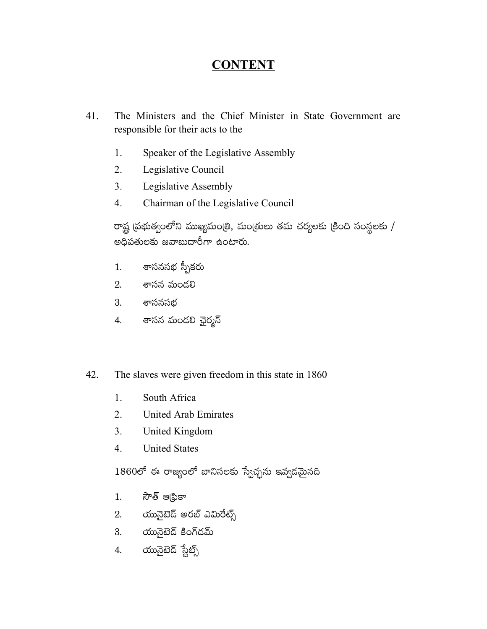## **CONTENT**

- 41. The Ministers and the Chief Minister in State Government are responsible for their acts to the
	- 1. Speaker of the Legislative Assembly
	- Legislative Council  $2.$
	- Legislative Assembly  $3<sub>1</sub>$
	- Chairman of the Legislative Council  $\overline{4}$ .

రాష్ట్ర ప్రభుత్వంలోని ముఖ్యమంత్రి, మంత్రులు తమ చర్యలకు (కింది సంస్థలకు / అధిపతులకు జవాబుదారీగా ఉంటారు.

- శాసనసభ స్పీకరు  $1.$
- 2. శాసన మండలి
- $3.$ శాసనసభ
- శాసన మండలి ఛైర్మన<mark>్</mark> 4.
- The slaves were given freedom in this state in 1860 42.
	- South Africa 1.
	- $2.$ **United Arab Emirates**
	- $3<sub>1</sub>$ United Kingdom
	- $\overline{4}$ . **United States**

 $1860$ లో ఈ రాజ్యంలో బానిసలకు స్వేచ్ఛను ఇవ్వడమైనది

- సౌత్ ఆ(ఫికా  $1.$
- 2. యునైటెడ్ అరబ్ ఎమిరేట్స్
- 3. యునైటెడ్ కింగ్డమ్
- యునైటెడ్ స్టేట్స్ 4.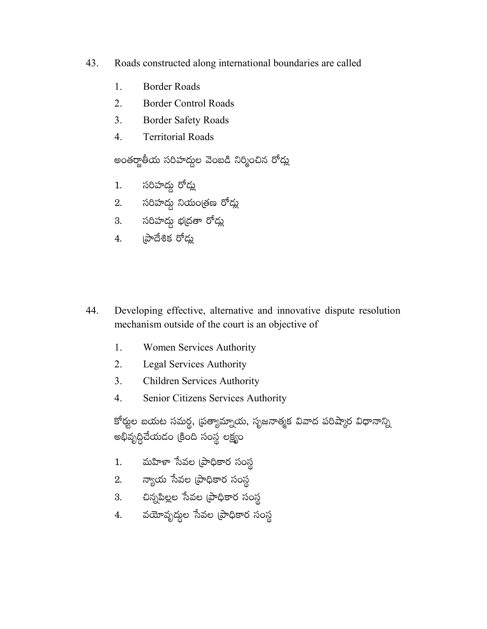- 43. Roads constructed along international boundaries are called
	- 1. **Border Roads**
	- $\overline{2}$ . **Border Control Roads**
	- $\overline{3}$ . **Border Safety Roads**
	- $\overline{4}$ . **Territorial Roads**

అంతర్జాతీయ సరిహద్దల వెంబడి నిర్మించిన రోడ్లు

- సరిహద్దు రోడ్లు  $1.$
- 2. సరిహద్దు నియంత్రణ రోడ్లు
- 3. సరిహద్దు భ(దతా రోడ్లు
- $4.$  బాదేశిక రోడు
- 44. Developing effective, alternative and innovative dispute resolution mechanism outside of the court is an objective of
	- 1. **Women Services Authority**
	- $2<sup>1</sup>$ **Legal Services Authority**
	- $\overline{3}$ . **Children Services Authority**
	- Senior Citizens Services Authority  $\overline{4}$ .

కోర్టుల బయట సమర్ద, (పత్యామ్నాయ, సృజనాత్మక వివాద పరిష్కార విధానాన్ని అభివృద్ధిచేయడం (కింది సంస్థ లక్ష్యం

- మహిళా సేవల (పాధికార సంస్థ  $1.$
- $2.$  న్యాయ సేవల (పాధికార సంస్థ
- 3. బిన్నపిల్లల సేవల ప్రాధికార సంస్థ
- 4. వయోవృద్ధల సేవల (పాధికార సంస్థ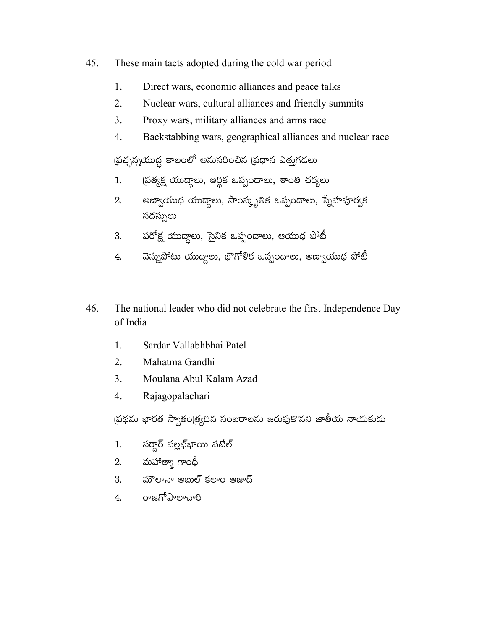- 45. These main tacts adopted during the cold war period
	- 1. Direct wars, economic alliances and peace talks
	- $\overline{2}$ . Nuclear wars, cultural alliances and friendly summits
	- $\overline{3}$ . Proxy wars, military alliances and arms race
	- $\overline{4}$ . Backstabbing wars, geographical alliances and nuclear race

ప్రచ్ఛన్నయుద్ధ కాలంలో అనుసరించిన (ప్రధాన ఎత్తుగడలు

- ప్రత్యక్ష యుద్దాలు, ఆర్థిక ఒప్పందాలు, శాంతి చర్యలు  $1.$
- అణ్వాయుధ యుద్దాలు, సాంస్కృతిక ఒప్పందాలు, స్నేహపూర్వక 2. సదస్సులు
- పరోక్ష యుద్దాలు, సైనిక ఒప్పందాలు, ఆయుధ పోటీ 3.
- వెన్నుపోటు యుద్దాలు, భౌగోళిక ఒప్పందాలు, అణ్వాయుధ పోటీ 4.
- 46. The national leader who did not celebrate the first Independence Day of India
	- $1<sup>1</sup>$ Sardar Vallabhbhai Patel
	- $2.$ Mahatma Gandhi
	- $3<sub>1</sub>$ Moulana Abul Kalam Azad
	- $\overline{4}$ . Rajagopalachari

ప్రథమ భారత స్వాతంత్ర్యదిన సంబరాలను జరుపుకొనని జాతీయ నాయకుడు

- సర్దార్ వల్లభ్ఞాయి పటేల్  $1.$
- మహాత్మా గాంధీ 2.
- మౌలానా అబుల్ కలాం ఆజాద్ 3.
- రాజగోపాలాచారి 4.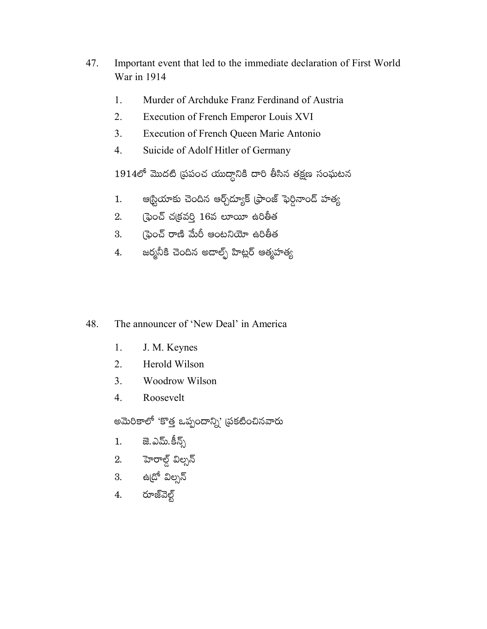- 47. Important event that led to the immediate declaration of First World War in 1914
	- 1. Murder of Archduke Franz Ferdinand of Austria
	- $2.$ Execution of French Emperor Louis XVI
	- $3<sub>1</sub>$ **Execution of French Queen Marie Antonio**
	- $\overline{4}$ . Suicide of Adolf Hitler of Germany

 $1914$ లో మొదటి (పపంచ యుద్దానికి దారి తీసిన తక్షణ సంఘటన

- ఆర్టియాకు చెందిన ఆర్చ్రో్యక్ (ఫాంజ్ ఫెర్దినాండ్ హత్య 1.
- (ఫైంచ్ చ(కవర్తి 16వ లూయీ ఉరితీత 2.
- ్రపెంచ్ రాణి మేరీ ఆంటనియో ఉరితీత 3.
- జర్మనీకి చెందిన అదాల్ప్ హిట్లర్ ఆత్మహత్య 4.
- 48. The announcer of 'New Deal' in America
	- $1.$ J. M. Keynes
	- $2<sup>1</sup>$ Herold Wilson
	- $\overline{3}$ . Woodrow Wilson
	- $\overline{4}$ . Roosevelt

అమెరికాలో 'కొత్త ఒప్పందాన్ని' (పకటించినవారు

- 1. జె.ఎమ్.కీన్స్
- 2. హెరాల్డ్ విల్సన్
- 3. ఉ<sub>(</sub>దో విల్సన్
- రూజ్వెల్గ్ 4.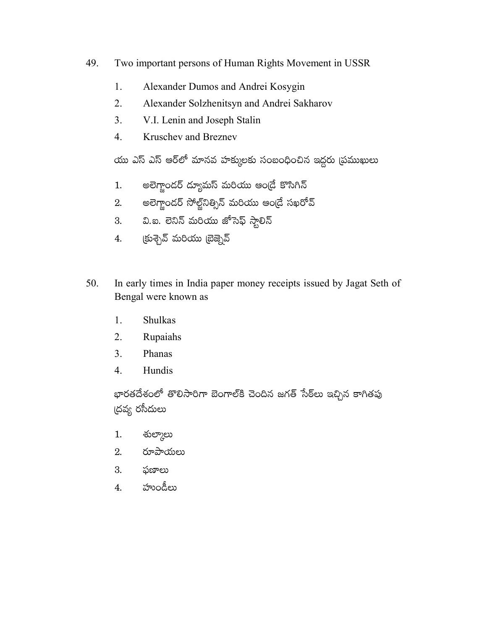- 49. Two important persons of Human Rights Movement in USSR
	- 1. Alexander Dumos and Andrei Kosygin
	- $2.$ Alexander Solzhenitsyn and Andrei Sakharov
	- $\overline{3}$ . V.I. Lenin and Joseph Stalin
	- $\overline{4}$ . **Kruschev and Breznev**

యు ఎస్ ఎస్ ఆర్లో మానవ హక్కులకు సంబంధించిన ఇద్దరు (పముఖులు

- అలెగ్జాందర్ ద్యూమస్ మరియు ఆండ్రే కొసిగిన్  $1.$
- అలెగ్జాందర్ సోల్జ్5ినిత్సిస్ మరియు ఆండ్రే సఖరోవ్ 2.
- వి.ఐ. లెనిన్ మరియు జోసెఫ్ స్టాలిన్  $3.$
- (కుశ్చెవ్ మరియు బ్రెజ్నెవ్ 4.
- 50. In early times in India paper money receipts issued by Jagat Seth of Bengal were known as
	- **Shulkas**  $1.$
	- $2.$ Rupaiahs
	- $3<sub>1</sub>$ Phanas
	- $\overline{4}$ . Hundis

భారతదేశంలో తొలిసారిగా బెంగాల్కి చెందిన జగత్ సేఠ్లు ఇచ్చిన కాగితపు (దవ్య రసీదులు

- శుల్మాలు 1.
- రూపాయలు  $2.$
- ఫణాలు 3.
- హుండీలు  $\overline{4}$ .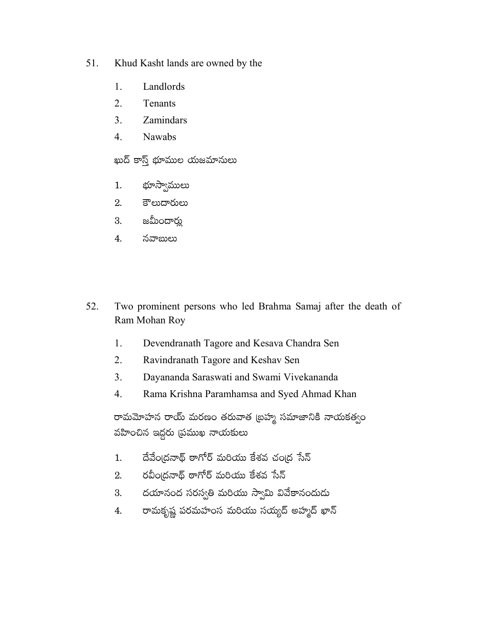- 51. Khud Kasht lands are owned by the
	- 1. Landlords
	- $\overline{2}$ . Tenants
	- $\overline{3}$ . Zamindars
	- $\overline{4}$ . Nawabs

ఖుద్ కాస్త్ భూముల యజమానులు

- భూస్వాములు  $1.$
- కౌలుదారులు 2.
- జమీందార్లు 3.
- 4. నవాబులు
- 52. Two prominent persons who led Brahma Samaj after the death of Ram Mohan Roy
	- $1.$ Devendranath Tagore and Kesava Chandra Sen
	- $\overline{2}$ . Ravindranath Tagore and Keshav Sen
	- $3<sub>1</sub>$ Dayananda Saraswati and Swami Vivekananda
	- $\overline{4}$ . Rama Krishna Paramhamsa and Syed Ahmad Khan

రామమోహన రాయ్ మరణం తరువాత (బహ్మ సమాజానికి నాయకత్వం వహించిన ఇద్దరు (పముఖ నాయకులు

- దేవేంద్రనాథ్ ఠాగోర్ మరియు కేశవ చంద్ర సేన్ 1.
- రవీంద్రనాథ్ ఠాగోర్ మరియు కేశవ సేన్ 2.
- దయానంద సరస్వతి మరియు స్వామి వివేకానందుదు 3.
- రామకృష్ణ పరమహంస మరియు సయ్యద్ అహ్మద్ ఖాన్  $4.$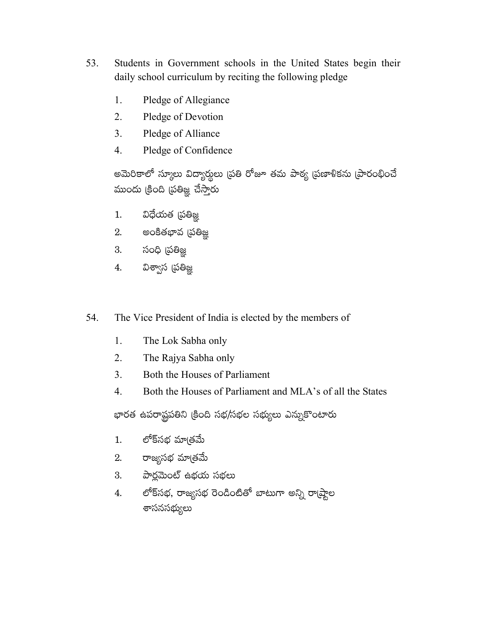- 53. Students in Government schools in the United States begin their daily school curriculum by reciting the following pledge
	- 1. Pledge of Allegiance
	- $2.$ Pledge of Devotion
	- $3<sub>1</sub>$ Pledge of Alliance
	- $\overline{4}$ . Pledge of Confidence

అమెరికాలో స్కూలు విద్యార్శలు (పతి రోజూ తమ పాఠ్య (పణాళికను (పారంభించే ముందు క్రింది (పతిజ్ఞ చేస్తారు

- విధేయత (పతిజ్ఞ  $1.$
- 2. అంకితభావ (పతిజ్ఞ
- 3. సంధి (పతిజ్ఞ
- విశ్వాస (పతిజ్ఞ 4.
- 54. The Vice President of India is elected by the members of
	- 1. The Lok Sabha only
	- $2.$ The Rajya Sabha only
	- $3<sub>1</sub>$ Both the Houses of Parliament
	- Both the Houses of Parliament and MLA's of all the States  $\overline{4}$ .

భారత ఉపరాష్ట్రపతిని క్రింది సభ/సభల సభ్యులు ఎన్నుకొంటారు

- లోక్సభ మాౖతమే  $1.$
- 2. రాజ్యసభ మాత్రమే
- 3. పార్లమెంట్ ఉభయ సభలు
- లోక్సభ, రాజ్యసభ రెండింటితో బాటుగా అన్ని రా(ష్టాల 4. శాసనసభ్యులు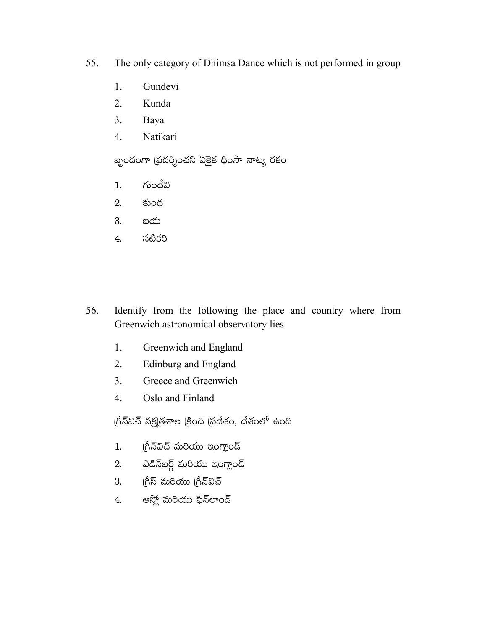- 55. The only category of Dhimsa Dance which is not performed in group
	- 1. Gundevi
	- 2. Kunda
	- $3<sub>1</sub>$ Baya
	- $4.$ Natikari

బృందంగా (పదర్శించని ఏకైక ధింసా నాట్య రకం

- గుందేవి  $1<sub>1</sub>$
- 2. కుంద
- 3. బయ
- 4. నటికరి
- 56. Identify from the following the place and country where from Greenwich astronomical observatory lies
	- Greenwich and England 1.
	- $2<sub>1</sub>$ **Edinburg and England**
	- $\overline{3}$ . Greece and Greenwich
	- $\overline{4}$ . Oslo and Finland

గ్రీన్విచ్ నక్షత్రశాల క్రింది ప్రదేశం, దేశంలో ఉంది

- గ్రీన్విచ్ మరియు ఇంగ్లాండ్  $1.$
- ఎడిన్ఐర్గ్ మరియు ఇంగ్లాండ్ 2.
- 3. గ్రీస్ మరియు గ్రీన్విచ్
- ఆస్లో మరియు ఫిన్లాండ్ 4.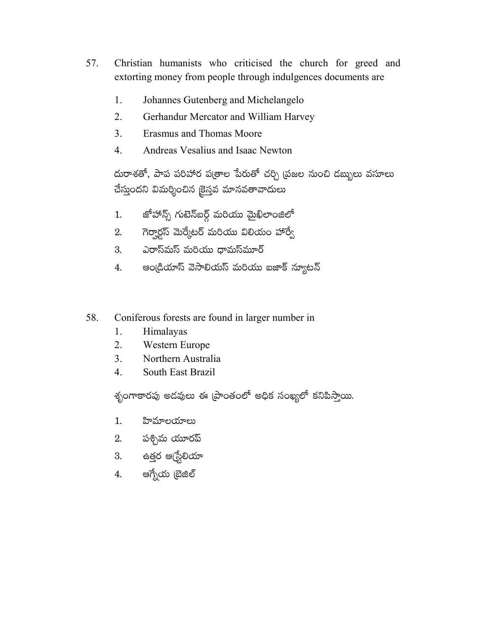- 57. Christian humanists who criticised the church for greed and extorting money from people through indulgences documents are
	- 1. Johannes Gutenberg and Michelangelo
	- $2.$ Gerhandur Mercator and William Harvey
	- $3<sub>1</sub>$ **Erasmus and Thomas Moore**
	- $\overline{4}$ Andreas Vesalius and Isaac Newton

దురాశతో, పాప పరిహార ప(తాల పేరుతో చర్చి (పజల నుంచి దబ్బులు వసూలు చేస్తుందని విమర్శించిన కైస్తవ మానవతావాదులు

- జోహాన్స్ గుటెన్ఐర్గ్ మరియు మైఖిలాంజిలో  $1.$
- గెర్వార్డస్ మెర్కేటర్ మరియు విలియం హార్వే 2.
- ఎరాస్మస్ మరియు ధామస్మూర్ 3.
- ఆండ్రియాస్ వెసాలియస్ మరియు ఐజాక్ న్యూటన్ 4.
- 58. Coniferous forests are found in larger number in
	- 1. Himalayas
	- 2. Western Europe
	- 3. Northern Australia
	- $\overline{4}$ . South East Brazil

శృంగాకారపు అడవులు ఈ [పాంతంలో అధిక సంఖ్యలో కనిపిస్తాయి.

- $1.$ హిమాలయాలు
- 2. పశ్చిమ యూరప్
- 3. ఉత్తర ఆధ్<mark>ట్</mark>రేలియా
- ఆగ్నేయ బ్రెజిల్ 4.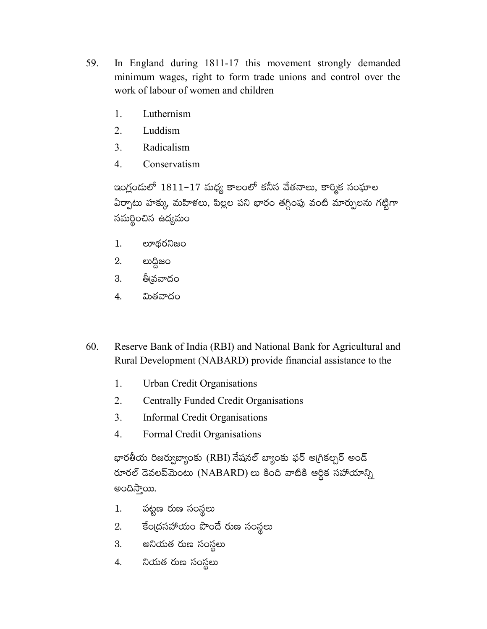- 59. In England during 1811-17 this movement strongly demanded minimum wages, right to form trade unions and control over the work of labour of women and children
	- $\mathbf{1}$ . Luthernism
	- $2.$ Luddism
	- $3<sub>1</sub>$ Radicalism
	- $\overline{4}$ Conservatism

ఇంగ్లందులో 1811–17 మధ్య కాలంలో కనీస వేతనాలు, కార్మిక సంఘాల ఏర్పాటు హక్కు, మహిళలు, పిల్లల పని భారం తగ్గింపు వంటి మార్పులను గట్టిగా సమర్థించిన ఉద్యమం

- లూథరనిజం 1.
- 2. లుద్దిజం
- తీ్నవవాదం 3.
- మితవాదం  $\overline{4}$ .
- 60. Reserve Bank of India (RBI) and National Bank for Agricultural and Rural Development (NABARD) provide financial assistance to the
	- 1. Urban Credit Organisations
	- 2. **Centrally Funded Credit Organisations**
	- $3<sub>1</sub>$ **Informal Credit Organisations**
	- $\overline{4}$ . Formal Credit Organisations

భారతీయ రిజర్వుబ్యాంకు (RBI) నేషనల్ బ్యాంకు ఫర్ అగ్రికల్చర్ అంద్ రూరల్ దెవలప్*మెంటు* (NABARD) లు కింది వాటికి ఆర్థిక సహాయాన్ని అందిస్తాయి.

- పట్టణ రుణ సంస్థలు 1.
- 2. కేంద్రసహాయం పొందే రుణ సంస్థలు
- అనియత రుణ సంస్థలు 3.
- నియత రుణ సంస్థలు 4.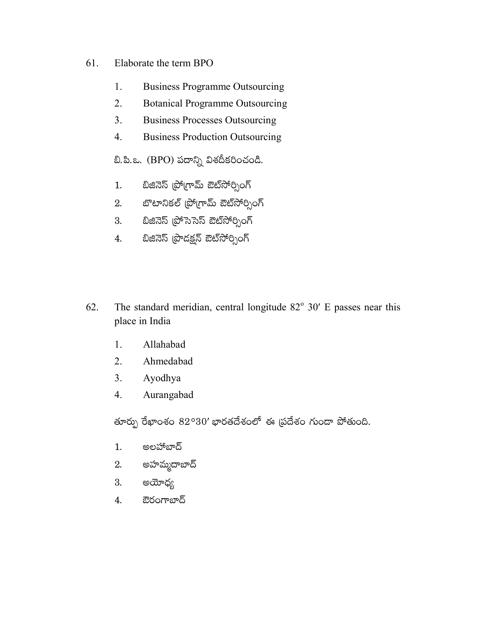- 61. Elaborate the term BPO
	- 1. **Business Programme Outsourcing**
	- 2. **Botanical Programme Outsourcing**
	- $3<sub>1</sub>$ **Business Processes Outsourcing**
	- $4.$ **Business Production Outsourcing**

బి.పి.ఒ. (BPO) పదాన్ని విశదీకరించండి.

- బిజినెస్ (పోగ్రామ్ ఔట్సోర్సింగ్  $1.$
- బొటానికల్ (పోగ్రామ్ ఔట్సోర్సింగ్ 2.
- బిజినెస్ (ప్రోసెసెస్ ఔట్సోర్సింగ్ 3.
- బిజినెస్ (పొదక్షన్ ఔట్సోర్సింగ్ 4.
- The standard meridian, central longitude  $82^{\circ}$  30' E passes near this 62. place in India
	- 1. Allahabad
	- 2. Ahmedabad
	- $3<sub>1</sub>$ Ayodhya
	- Aurangabad  $\overline{4}$ .

తూర్పు రేఖాంశం 82°30' భారతదేశంలో ఈ ప్రదేశం గుండా పోతుంది.

- అలహాబాద్  $1.$
- అహమ్మదాబాద్ 2.
- అయోధ్య 3.
- ఔరంగాబాద్ 4.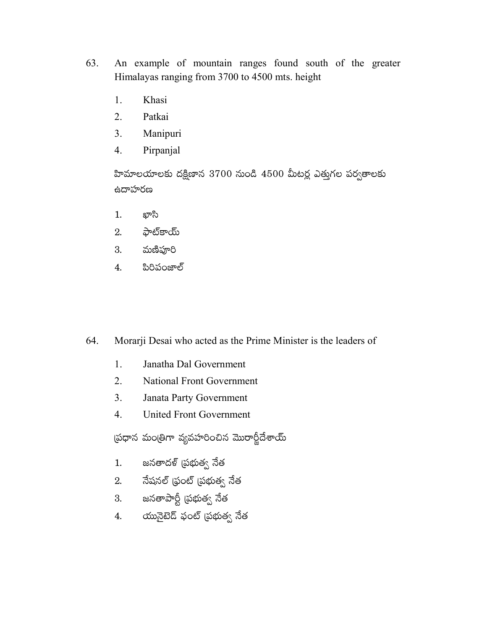- 63. An example of mountain ranges found south of the greater Himalayas ranging from 3700 to 4500 mts. height
	- Khasi 1.
	- 2. Patkai
	- $3<sub>1</sub>$ Manipuri
	- Pirpanjal  $\overline{4}$ .

హిమాలయాలకు దక్షిణాన 3700 నుండి 4500 మీటర్ల ఎత్తుగల పర్వతాలకు ఉదాహరణ

- $1.$ ఖాని
- ఫాట్కాయ్ 2.
- మణిఫూరి 3.
- పిరిపంజాల్ 4.

64. Morarji Desai who acted as the Prime Minister is the leaders of

- $1.$ Janatha Dal Government
- $2.$ **National Front Government**
- $3<sub>1</sub>$ Janata Party Government
- $\overline{4}$ . **United Front Government**

ప్రధాన మంత్రిగా వ్యవహరించిన మొరార్జీదేశాయ్

- జనతాదళ్ (పభుత్వ నేత  $1.$
- నేషనల్ ధ్రంట్ (పభుత్వ నేత 2.
- 3. జనతాపార్టీ (పభుత్వ నేత
- యునైటెడ్ ఫంట్ (పభుత్వ నేత  $\overline{4}$ .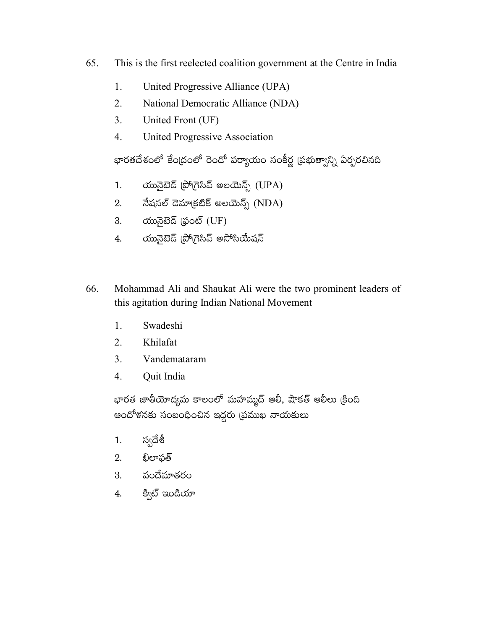- 65. This is the first reelected coalition government at the Centre in India
	- 1. United Progressive Alliance (UPA)
	- $2.$ National Democratic Alliance (NDA)
	- $\overline{3}$ . United Front (UF)
	- $\overline{4}$ . United Progressive Association

భారతదేశంలో కేంద్రంలో రెండో పర్యాయం సంకీర్ణ (పథుత్వాన్ని ఏర్పరచినది

- యునైటెడ్ (పోగ్రెసివ్ అలయెన్స్ (UPA)  $1.$
- నేషనల్ డెమాక్రటిక్ అలయెన్స్ (NDA) 2.
- 3. රාගැබිහිඩි (ఫంట్ (UF)
- యునైటెడ్ (పో(గెసివ్ అసోసియేషన్ 4.
- 66. Mohammad Ali and Shaukat Ali were the two prominent leaders of this agitation during Indian National Movement
	- $1<sup>1</sup>$ Swadeshi
	- $2.$ Khilafat
	- $3<sub>1</sub>$ Vandemataram
	- $\overline{4}$ . Ouit India

భారత జాతీయోద్యమ కాలంలో మహమ్మద్ ఆలీ, షౌకత్ ఆలీలు క్రింది ఆందోళనకు సంబంధించిన ఇద్దరు (పముఖ నాయకులు

- స్వదేశీ  $1.$
- ఖిలాఫత్ 2.
- 3. వందేమాతరం
- క్విట్ ఇండియా 4.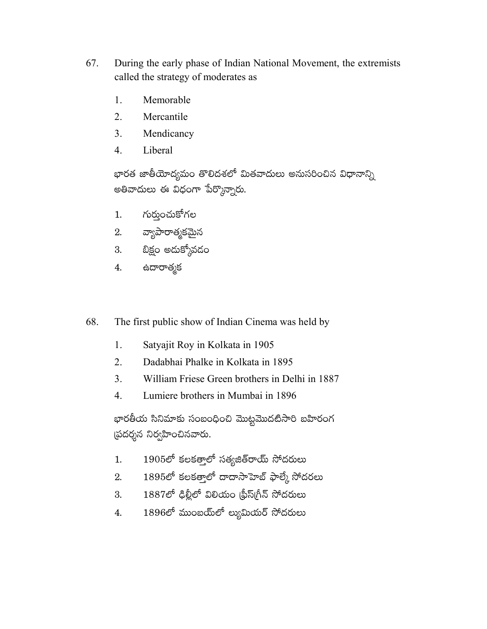- 67. During the early phase of Indian National Movement, the extremists called the strategy of moderates as
	- Memorable 1.
	- $\overline{2}$ . Mercantile
	- $3<sub>1</sub>$ Mendicancy
	- $\overline{4}$ . Liberal

భారత జాతీయోద్యమం తొలిదశలో మితవాదులు అనుసరించిన విధానాన్ని అతివాదులు ఈ విధంగా పేర్కొన్నారు.

- గుర్తుంచుకోగల  $1.$
- వ్యాపారాత్మకమైన 2.
- బిక్షం అడుక్కోవడం 3.
- ఉదారాత్మక 4.
- 68. The first public show of Indian Cinema was held by
	- 1. Satyajit Roy in Kolkata in 1905
	- $2<sub>1</sub>$ Dadabhai Phalke in Kolkata in 1895
	- $3<sub>1</sub>$ William Friese Green brothers in Delhi in 1887
	- $\overline{4}$ . Lumiere brothers in Mumbai in 1896

భారతీయ సినిమాకు సంబంధించి మొట్టమొదటిసారి బహిరంగ స్రదర్శన నిర్వహించినవారు.

- $1905$ లో కలకత్తాలో సత్యజిత్**రాయ్** సోదరులు  $1.$
- 1895లో కలకత్తాలో దాదాసాహెబ్ ఫాల్కే సోదరలు  $\overline{2}$ .
- 1887లో ఢిల్లీలో విలియం (ఫ్రీస్(గీన్ సోదరులు 3.
- $1896$ లో ముంబయ్లో ల్యుమియర్ సోదరులు 4.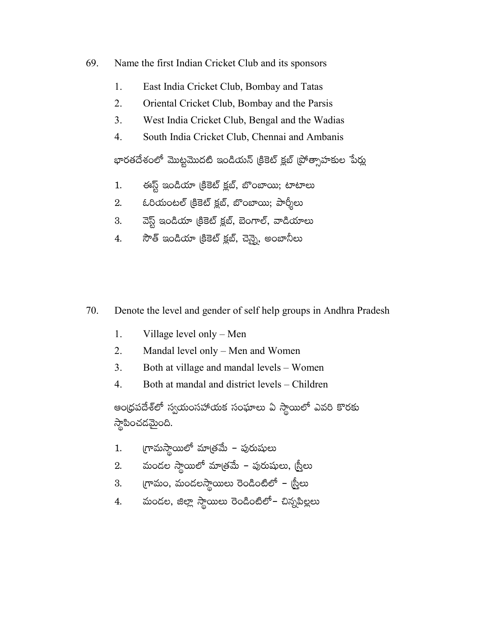- 69. Name the first Indian Cricket Club and its sponsors
	- 1. East India Cricket Club, Bombay and Tatas
	- $\overline{2}$ . Oriental Cricket Club, Bombay and the Parsis
	- $3<sub>1</sub>$ West India Cricket Club, Bengal and the Wadias
	- $\overline{4}$ . South India Cricket Club, Chennai and Ambanis

భారతదేశంలో మొట్టమొదటి ఇండియన్ క్రికెట్ క్లబ్ ప్రోత్సాహకుల పేర్లు

- ఈస్ట్ ఇండియా క్రికెట్ క్లబ్, బొంబాయి; టాటాలు  $1.$
- ఓరియంటల్ (కికెట్ క్లబ్, బొంబాయి; పార్శీలు 2.
- వెస్ట్ ఇండియా క్రికెట్ క్లబ్, బెంగాల్, వాడియాలు 3.
- సౌత్ ఇండియా క్రికెట్ క్లబ్, చెన్నై, అంబానీలు 4.
- 70. Denote the level and gender of self help groups in Andhra Pradesh
	- 1. Village level only – Men
	- $\overline{2}$ . Mandal level only – Men and Women
	- $3<sub>1</sub>$ Both at village and mandal levels - Women
	- $\overline{4}$ . Both at mandal and district levels – Children

ఆంధ్రపదేశ్లో స్వయంసహాయక సంఘాలు ఏ స్థాయిలో ఎవరి కొరకు స్తాపించడమైంది.

- గ్రామస్థాయిలో మాత్రమే పురుషులు  $1.$
- మండల స్థాయిలో మాత్రమే పురుషులు, <u>(స</u>్తీలు 2.
- (గామం, మండలస్థాయిలు రెండింటిలో స్ట్రీలు 3.
- మండల, జిల్లా స్థాయిలు రెండింటిలో– చిన్నపిల్లలు 4.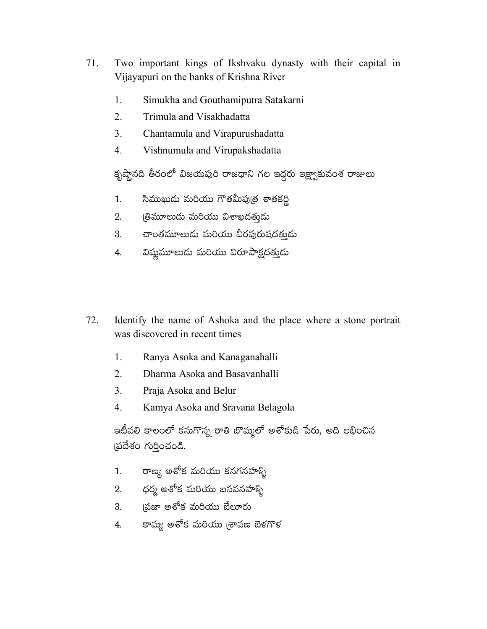- 71. Two important kings of Ikshvaku dynasty with their capital in Vijayapuri on the banks of Krishna River
	- 1. Simukha and Gouthamiputra Satakarni
	- $2.$ Trimula and Visakhadatta
	- $3<sub>1</sub>$ Chantamula and Virapurushadatta
	- $\overline{4}$ . Vishnumula and Virupakshadatta

కృష్ణానది తీరంలో విజయపురి రాజధాని గల ఇద్దరు ఇక్ష్వాకువంశ రాజులు

- సిముఖుడు మరియు గౌతమీపుత్ర శాతకర్ణి 1.
- (తిమూలుదు మరియు విశాఖదతుడు  $2.$
- చాంతమూలుడు మరియు వీరపురుషదతుడు 3.
- విష్ణమూలుదు మరియు విరూపాక్షదత్తుడు 4.
- 72. Identify the name of Ashoka and the place where a stone portrait was discovered in recent times
	- Ranya Asoka and Kanaganahalli 1.
	- $2<sup>1</sup>$ Dharma Asoka and Basavanhalli
	- $3<sub>1</sub>$ Praja Asoka and Belur
	- $\overline{4}$ . Kamya Asoka and Sravana Belagola

ఇటీవలి కాలంలో కనుగొన్న రాతి బొమ్మలో అశోకుడి పేరు, అది లభించిన (పదేశం గుర్తించండి.

- రాణ్య అశోక మరియు కనగనహళ్ళి  $1.$
- ధర్మ అశోక మరియు బసవనహళ్ళ<mark>ి</mark> 2.
- ౹పజా అశోక మరియు బేలూరు 3.
- కామ్య అశోక మరియు (శావణ బెళగొళ 4.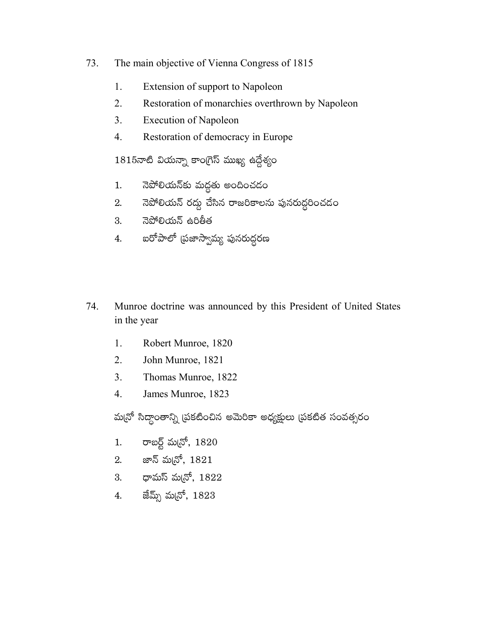- 73. The main objective of Vienna Congress of 1815
	- 1. Extension of support to Napoleon
	- $\overline{2}$ . Restoration of monarchies overthrown by Napoleon
	- $3<sub>1</sub>$ **Execution of Napoleon**
	- $\overline{4}$ . Restoration of democracy in Europe

 $1815$ నాటి వియన్నా కాంగ్రెస్ ముఖ్య ఉద్దేశ్యం

- నెపోలియన్కు మద్దతు అందించడం  $1.$
- నెపోలియన్ రద్దు చేసిన రాజరికాలను పునరుద్దరించడం 2.
- నెపోలియన్ ఉరితీత  $3<sub>l</sub>$
- ఐరోపాలో (పజాస్వామ్య పునరుద్దరణ 4.
- 74. Munroe doctrine was announced by this President of United States in the year
	- 1. Robert Munroe, 1820
	- $\overline{2}$ . John Munroe, 1821
	- $3<sub>1</sub>$ Thomas Munroe, 1822
	- $\overline{4}$ . James Munroe, 1823

మ్మనో సిద్ధాంతాన్ని (పకటించిన అమెరికా అధ్యక్షులు (పకటిత సంవత్సరం

- రాబర్ట్ మన్రో, 1820  $1.$
- 2. జాన్ మ<sub>(</sub>నో, 1821
- 3.  $\sigma$ ధామస్ మ<br/>(నో, 1822
- 4. జేమ్స్ మన్రో, 1823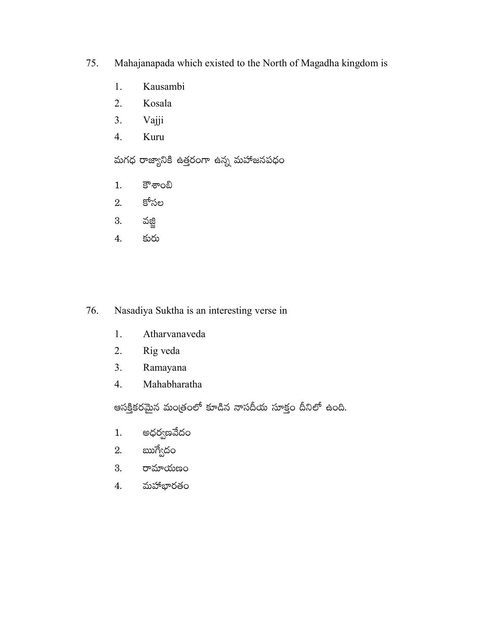- 75. Mahajanapada which existed to the North of Magadha kingdom is
	- Kausambi 1.
	- $2.$ Kosala
	- $3.$ Vajji
	- $\overline{4}$ . Kuru

మగధ రాజ్యానికి ఉత్తరంగా ఉన్న మహాజనపధం

- కౌశాంబి  $1.$
- కోసల 2.
- 3. వజ్జి
- కురు  $\overline{4}$ .

# 76. Nasadiya Suktha is an interesting verse in

- 1. Atharvanaveda
- $2.$ Rig veda
- $3.$ Ramayana
- $4.$ Mahabharatha

ఆసక్తికరమైన మంత్రంలో కూడిన నాసదీయ సూక్తం దీనిలో ఉంది.

- అధర్వణవేదం  $1.$
- ఋగ్వేదం 2.
- రామాయణం 3.
- మహాభారతం 4.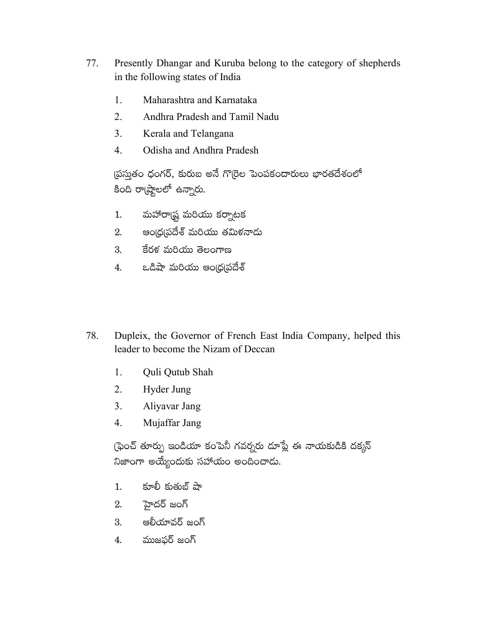- 77. Presently Dhangar and Kuruba belong to the category of shepherds in the following states of India
	- Maharashtra and Karnataka 1.
	- $2.$ Andhra Pradesh and Tamil Nadu
	- Kerala and Telangana  $3<sub>1</sub>$
	- $\overline{4}$ . Odisha and Andhra Pradesh

ప్రస్తుతం ధంగర్, కురుబ అనే గొర్రెల పెంపకందారులు భారతదేశంలో కింది రా(ష్టాలలో ఉన్నారు.

- మహారాడ్న మరియు కర్నాటక  $1.$
- ఆంఁధ్ర(పదేశ్ మరియు తమిళనాదు 2.
- $3.$ కేరళ మరియు తెలంగాణ
- ఒడిషా మరియు ఆంఁధ(ప్రదేశ్ 4.
- 78. Dupleix, the Governor of French East India Company, helped this leader to become the Nizam of Deccan
	- 1. Quli Qutub Shah
	- 2. Hyder Jung
	- $3<sub>1</sub>$ Aliyavar Jang
	- $\overline{4}$ . Mujaffar Jang

్రఫెంచ్ తూర్పు ఇండియా కంపెనీ గవర్నరు దూప్లే ఈ నాయకుడికి దక్కన్ నిజాంగా అయ్యేందుకు సహాయం అందించాడు.

- కూలీ కుతుబ్ షా  $1.$
- హైదర్ జంగ్ 2.
- ఆలీయావర్ జంగ్ 3.
- ముజఫర్ జంగ్ 4.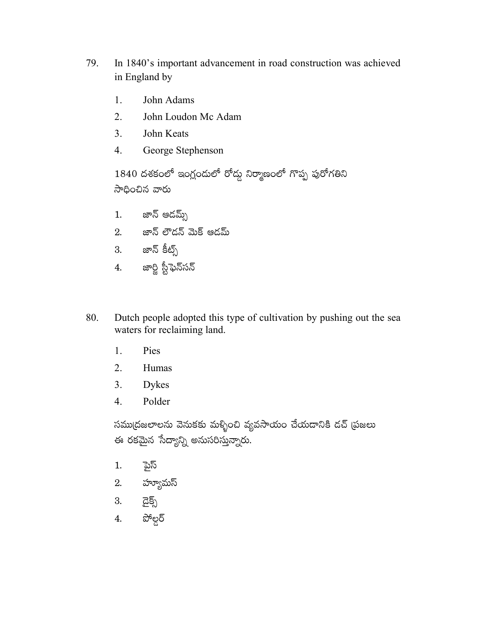- 79. In 1840's important advancement in road construction was achieved in England by
	- John Adams 1.
	- $2.$ John Loudon Mc Adam
	- $3<sub>1</sub>$ John Keats
	- George Stephenson  $\overline{4}$ .

1840 దశకంలో ఇంగ్లందులో రోడ్డు నిర్మాణంలో గొప్ప పురోగతిని సాధించిన వారు

- జాన్ ఆదమ్స్  $1.$
- 2. జాన్ లౌడన్ మెక్ ఆడమ్
- 3. జాన్ కీట్స్
- 4. జార్జి స్టీఫెన్సన్
- Dutch people adopted this type of cultivation by pushing out the sea 80. waters for reclaiming land.
	- $1.$ Pies
	- $2<sub>1</sub>$ Humas
	- $3<sub>1</sub>$ **Dykes**
	- 4. Polder

సము(దజలాలను వెనుకకు మళ్ళించి వ్యవసాయం చేయడానికి డచ్ (పజలు ఈ రకమైన సేద్యాన్ని అనుసరిస్తున్నారు.

- ್ದಾನ  $1.$
- హ్యూమస్ 2.
- $\widetilde{\mathbf{G}}$ క్స్ 3.
- పోల్డర్ 4.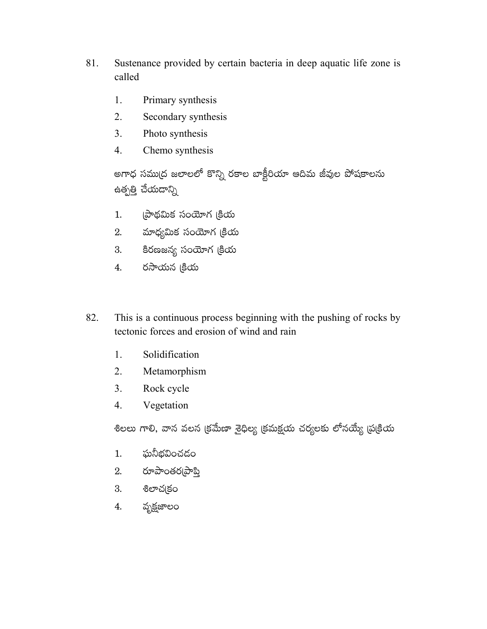- 81. Sustenance provided by certain bacteria in deep aquatic life zone is called
	- Primary synthesis 1.
	- 2. Secondary synthesis
	- $3<sub>1</sub>$ Photo synthesis
	- $\overline{4}$ . Chemo synthesis

అగాధ సముద్ర జలాలలో కొన్ని రకాల బాక్టీరియా ఆదిమ జీవుల పోషకాలను ఉత్పత్తి చేయదాన్ని

- (పాథమిక సంయోగ (కియ  $1.$
- మాధ్యమిక సంయోగ (కియ 2.
- కిరణజన్య సంయోగ (కియ 3.
- రసాయన <sub>l</sub>కియ 4.
- This is a continuous process beginning with the pushing of rocks by 82. tectonic forces and erosion of wind and rain
	- Solidification  $1.$
	- 2. Metamorphism
	- $3<sub>1</sub>$ Rock cycle
	- Vegetation  $4.$

శిలలు గాలి, వాన వలన క్రమేణా శైధిల్య క్రమక్షయ చర్యలకు లోనయ్యే ప్రక్రియ

- ఘనీభవించడం  $1.$
- $2.$  రూపాంతర్నపాప్తి
- 3. శిలాచ(కం
- వృక్షజాలం 4.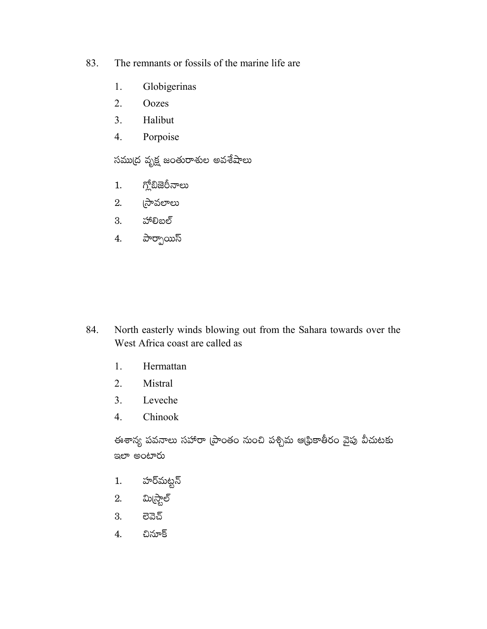- The remnants or fossils of the marine life are 83.
	- Globigerinas 1.
	- 2. Oozes
	- $3<sub>1</sub>$ Halibut
	- Porpoise  $4.$

సముద్ర వృక్ష జంతురాశుల అవశేషాలు

- గ్లోబిజెరీనాలు  $1.$
- ్రసావలాలు 2.
- 3. హాలిబల్
- పార్పాయిస్  $4.$

- North easterly winds blowing out from the Sahara towards over the 84. West Africa coast are called as
	- 1. Hermattan
	- 2. Mistral
	- $3<sub>1</sub>$ Leveche
	- Chinook  $\overline{4}$ .

ఈశాన్య పవనాలు సహారా (పాంతం నుంచి పశ్చిమ ఆథ్రికాతీరం వైపు వీచుటకు ఇలా అంటారు

- హర్మట్టస్  $1.$
- మి(స్టాల్ 2.
- 3. ಠಿವವ
- $\overline{4}$ . చినూక్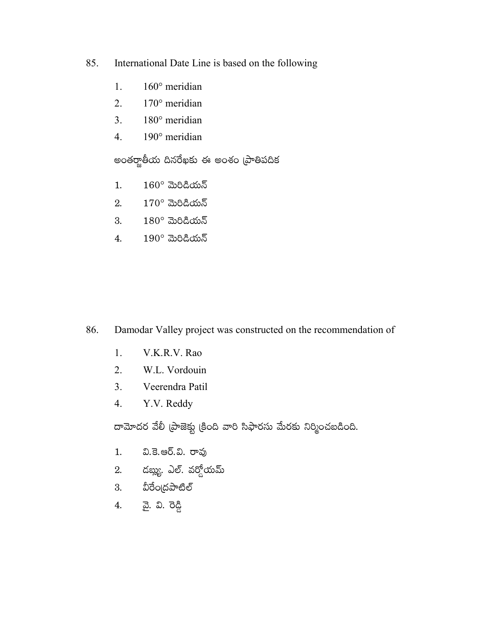- International Date Line is based on the following 85.
	- $160^\circ$  meridian 1.
	- $2.$ 170° meridian
	- 180° meridian  $3<sub>1</sub>$
	- 190° meridian  $4.$

అంతర్జాతీయ దినరేఖకు ఈ అంశం (పాతిపదిక

- $160^\circ$  మెరిడియన్  $1.$
- $170^\circ$  మెరిడియన్ 2.
- $180^\circ$  మెరిడియన్ 3.
- $190^\circ$  మెరిడియన్  $4.$

- Damodar Valley project was constructed on the recommendation of 86.
	- $1<sub>1</sub>$ V.K.R.V. Rao
	- $2.$ W.L. Vordouin
	- $3<sub>1</sub>$ Veerendra Patil
	- Y.V. Reddy  $4.$

దామోదర వేలీ (పాజెక్టు క్రింది వారి సిఫారసు మేరకు నిర్మించబడింది.

- వి.కె.ఆర్.వి. రావు  $1.$
- 2. డబ్లు. ఎల్. వర్డోయమ్
- 3. వీరేంద్రపాటిల్
- <u>వ</u>ై. వి. రెడ్డి 4.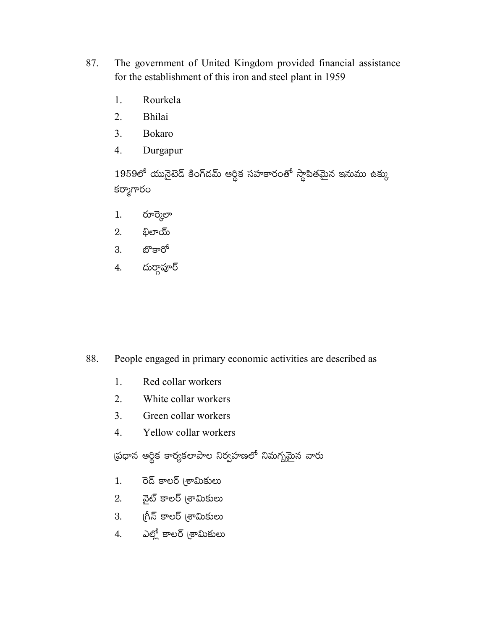- 87. The government of United Kingdom provided financial assistance for the establishment of this iron and steel plant in 1959
	- Rourkela 1.
	- $2.$ Bhilai
	- $3<sub>1</sub>$ **Bokaro**
	- Durgapur  $\overline{4}$ .

 $1959$ లో యునైటెడ్ కింగ్డమ్ ఆర్థిక సహకారంతో స్థాపితమైన ఇనుము ఉక్కు కర్మాగారం

- రూర్మెలా  $1.$
- భిలాయ్ 2.
- బొకారో 3.
- దుర్గాపూర్  $4.$

88. People engaged in primary economic activities are described as

- 1. Red collar workers
- $2<sup>1</sup>$ White collar workers
- $\overline{3}$ . Green collar workers
- $\overline{4}$ . Yellow collar workers

ప్రధాన ఆర్థిక కార్యకలాపాల నిర్వహణలో నిమగ్నమైన వారు

- రెడ్ కాలర్ (శామికులు  $1.$
- 2. వైట్ కాలర్ (శామికులు
- 3. గీన్ కాలర్ (శామికులు
- 4. ఎల్లో కాలర్ (శామికులు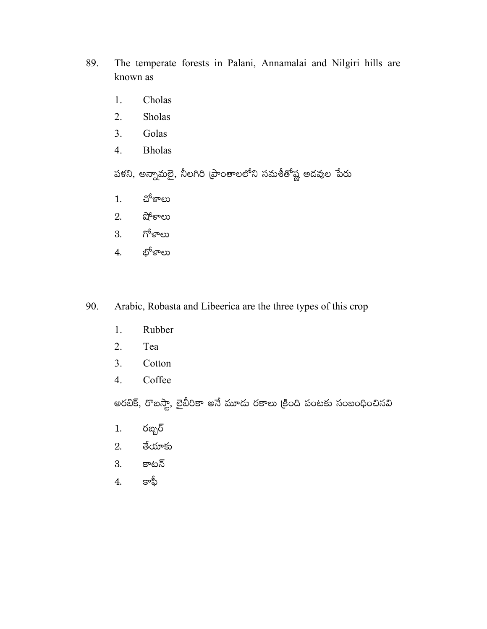- 89. The temperate forests in Palani, Annamalai and Nilgiri hills are known as
	- Cholas 1.
	- 2. Sholas
	- $3.$ Golas
	- **Bholas** 4.

పళని, అన్నామలై, నీలగిరి (ప్రాంతాలలోని సమశీతోష్ణ అదవుల పేరు

- చోళాలు  $1.$
- షోళాలు 2.
- గోళాలు 3.
- భోళాలు  $4.$
- 90. Arabic, Robasta and Libeerica are the three types of this crop
	- Rubber 1.
	- 2. Tea
	- $3.$ Cotton
	- Coffee  $4.$

అరబిక్, రొబస్టా, లైబీరికా అనే మూదు రకాలు క్రింది పంటకు సంబంధించినవి

- రబ్బర్  $1.$
- తేయాకు  $2.$
- కాటన్ 3.
- కాఫీ  $\overline{4}$ .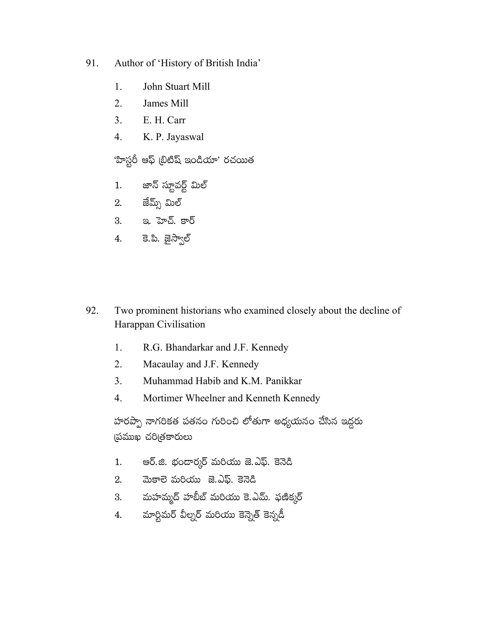- 91. Author of 'History of British India'
	- 1. John Stuart Mill
	- $\overline{2}$ . James Mill
	- $3<sub>1</sub>$ E. H. Carr
	- $\overline{4}$ . K. P. Jayaswal

'హిస్టరీ ఆఫ్ (బిటిష్ ఇండియా' రచయిత

- జాన్ స్టూవర్ట్ మిల్  $1.$
- జేమ్స్ మిల్ 2.
- 3. ఇ. హెచ్. కార్
- 4. కె.పి. జైస్వాల్
- 92. Two prominent historians who examined closely about the decline of Harappan Civilisation
	- R.G. Bhandarkar and J.F. Kennedy 1.
	- $2<sup>1</sup>$ Macaulay and J.F. Kennedy
	- $\overline{3}$ . Muhammad Habib and K.M. Panikkar
	- $\overline{4}$ . Mortimer Wheelner and Kenneth Kennedy

హరప్పా నాగరికత పతనం గురించి లోతుగా అధ్యయనం చేసిన ఇద్దరు (ప్రముఖ చరి(తకారులు

- ఆర్.జి. భందార్మర్ మరియు జె.ఎఫ్. కెనెడి  $1.$
- మెకాలె మరియు జె.ఎఫ్. కెనెడి 2.
- మహమ్మద్ హబీబ్ మరియు కె.ఎమ్. ఫణిక్కర్ 3.
- మార్టిమర్ వీల్నర్ మరియు కెన్నెత్ కెన్నడీ 4.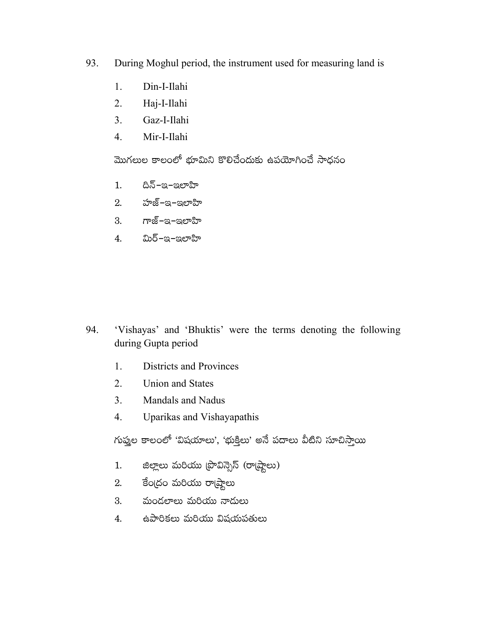- 93. During Moghul period, the instrument used for measuring land is
	- 1. Din-I-Ilahi
	- 2. Haj-I-Ilahi
	- $\overline{3}$ . Gaz-I-Ilahi
	- $\overline{4}$ . Mir-I-Ilahi

మొగలుల కాలంలో భూమిని కొలిచేందుకు ఉపయోగించే సాధనం

- దిన్–ఇ–ఇలాహి  $1<sup>1</sup>$
- హజ్–ఇ–ఇలాహి 2.
- $3.$  గాజ్–ఇ–ఇలాహి
- 4. మిర్–ఇ–ఇలాహి

- 'Vishayas' and 'Bhuktis' were the terms denoting the following 94. during Gupta period
	- $1.$ **Districts and Provinces**
	- $2<sub>1</sub>$ **Union and States**
	- $3<sub>1</sub>$ **Mandals and Nadus**
	- Uparikas and Vishayapathis  $\overline{4}$ .

గుప్తుల కాలంలో 'విషయాలు', 'భుక్తిలు' అనే పదాలు వీటిని సూచిస్తాయి

- జిల్లాలు మరియు (పొవిన్సెస్ (రా(ష్ఠాలు)  $1.$
- కేంద్రం మరియు రా్టడ్దాలు 2.
- మండలాలు మరియు నాదులు  $3.$
- ఉపారికలు మరియు విషయపతులు 4.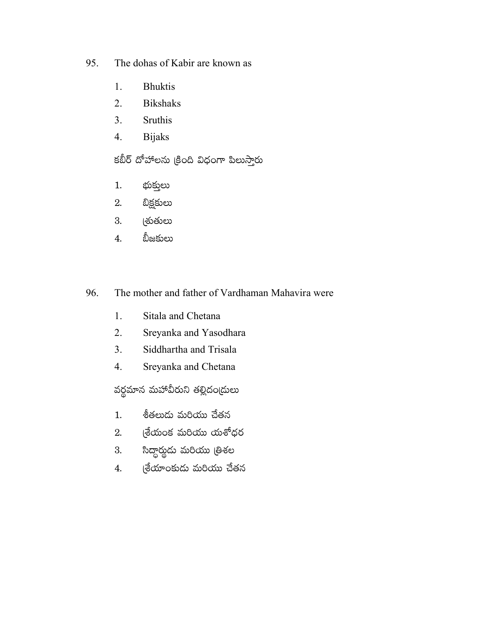- The dohas of Kabir are known as 95.
	- **Bhuktis** 1.
	- $2.$ **Bikshaks**
	- Sruthis  $3<sub>1</sub>$
	- **Bijaks**  $4.$

కబీర్ దోహాలను క్రింది విధంగా పిలుస్తారు

- భుక్తులు  $1.$
- బిక్షకులు 2.
- (శుతులు 3.
- బీజకులు  $\overline{4}$ .
- 96. The mother and father of Vardhaman Mahavira were
	- Sitala and Chetana  $1.$
	- $2.$ Sreyanka and Yasodhara
	- $3.$ Siddhartha and Trisala
	- Sreyanka and Chetana  $4.$

వర్థమాన మహావీరుని తల్లిదంఁ్రులు

- శీతలుడు మరియు చేతన  $1.$
- $\mathfrak k$ యేంక మరియు యశోధర 2.
- సిద్ధార్థుడు మరియు త్రిశల 3.
- (శేయాంకుడు మరియు చేతన  $\overline{4}$ .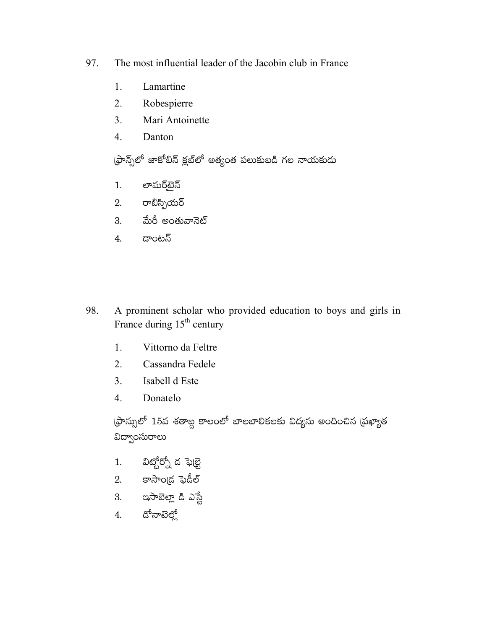- 97. The most influential leader of the Jacobin club in France
	- 1. Lamartine
	- 2. Robespierre
	- $\overline{3}$ . Mari Antoinette
	- $\overline{4}$ . Danton

ఫ్రాన్స్ట్ జాకోబిన్ క్లబ్లో అత్యంత పలుకుబడి గల నాయకుడు

- లామర్ఓబెన్  $1.$
- $2.$  రాబిస్పియర్
- 3. మేరీ అంతువానెట్
- 4. దాంటన్
- 98. A prominent scholar who provided education to boys and girls in France during 15<sup>th</sup> century
	- $1.$ Vittorno da Feltre
	- $2<sub>1</sub>$ Cassandra Fedele
	- $\overline{3}$ . Isabell d Este
	- $\overline{4}$ . Donatelo

్రసాన్సులో 15వ శతాబ్ద కాలంలో బాలబాలికలకు విద్యను అందించిన (పఖ్యాత విద్వాంసురాలు

- విట్టోర్నో డ ఫెుల్టె  $1.$
- $2.$  కాసాంద్ర ఫెడీల్
- 3. ఇసాబెల్లా డి ఎస్ట<mark>ే</mark>
- $4.$  దోనాటెల్తో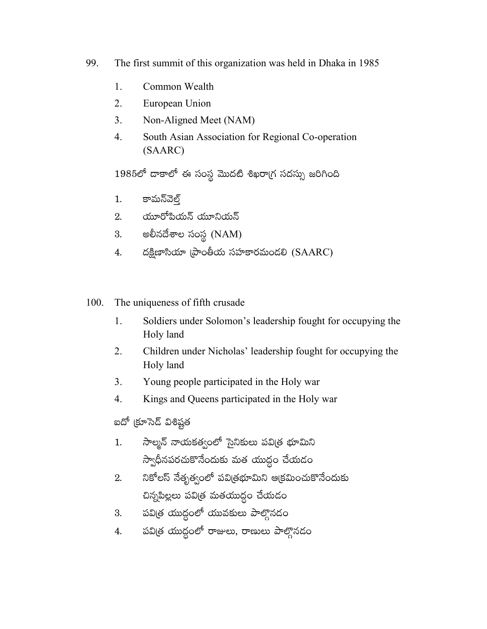- 99. The first summit of this organization was held in Dhaka in 1985
	- 1. Common Wealth
	- $\overline{2}$ . European Union
	- $3<sub>1</sub>$ Non-Aligned Meet (NAM)
	- South Asian Association for Regional Co-operation  $\overline{4}$ . (SAARC)

1985లో దాకాలో ఈ సంస్థ మొదటి శిఖరాగ్ర సదస్సు జరిగింది

- కామన్వెల్త్ 1.
- 2. యూరోపియన్ యూనియన్
- అలీనదేశాల సంస్థ (NAM) 3.
- దక్షిణాసియా (పాంతీయ సహకారమందలి  $(SAARC)$ 4.
- The uniqueness of fifth crusade 100.
	- $\mathbf{1}$ . Soldiers under Solomon's leadership fought for occupying the Holy land
	- 2. Children under Nicholas' leadership fought for occupying the Holy land
	- $3<sub>1</sub>$ Young people participated in the Holy war
	- $\overline{4}$ . Kings and Queens participated in the Holy war

ఐదో (కూసెడ్ విశిష్టత

- సాల్మన్ నాయకత్వంలో సైనికులు పవిత్ర భూమిని  $1.$ స్వాధీనపరచుకొనేందుకు మత యుద్ధం చేయడం
- నికోలస్ నేతృత్వంలో పవిత్రభూమిని ఆక్రమించుకొనేందుకు 2. చిన్నపిల్లలు పవిత్ర మతయుద్ధం చేయడం
- పవిత్ర యుద్ధంలో యువకులు పాల్గొనడం 3.
- పవిత్ర యుద్ధంలో రాజులు, రాణులు పాల్గొనడం 4.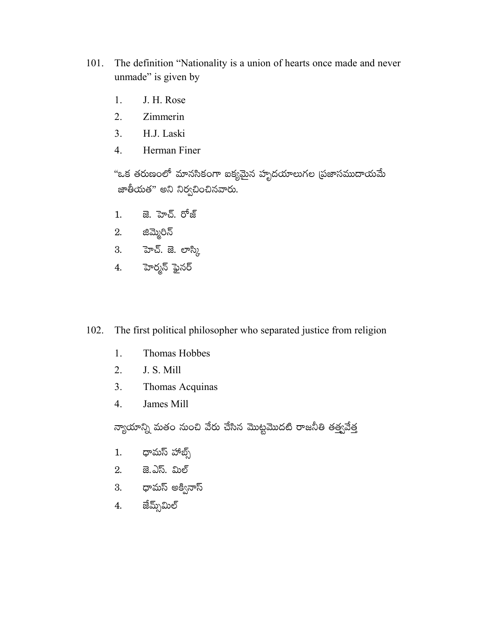- The definition "Nationality is a union of hearts once made and never 101. unmade" is given by
	- J. H. Rose 1.
	- $2.$ Zimmerin
	- $3<sub>1</sub>$ H.J. Laski
	- $\overline{4}$ . Herman Finer

"ఒక తరుణంలో మానసికంగా ఐకృమైన హృదయాలుగల (పజాసముదాయమే జాతీయత" అని నిర్వచించినవారు.

- జె. హెచ్. రోజ్  $1.$
- 2. జిమ్మెరిన్
- 3. హెచ్. జె. లాస్క<mark>ి</mark>
- 4. హెర్మన్ ఫైనర్

The first political philosopher who separated justice from religion 102.

- 1. Thomas Hobbes
- 2. J. S. Mill
- Thomas Acquinas  $3<sub>1</sub>$
- $\overline{4}$ . James Mill

న్యాయాన్ని మతం నుంచి వేరు చేసిన మొట్టమొదటి రాజనీతి తత్త్వవేత్త

- ధామస్ హాట్స్  $1.$
- 2. జె.ఎస్. మిల్
- 3. థామస్ అక్వినాస్
- జేమ్స్ఏుల్ 4.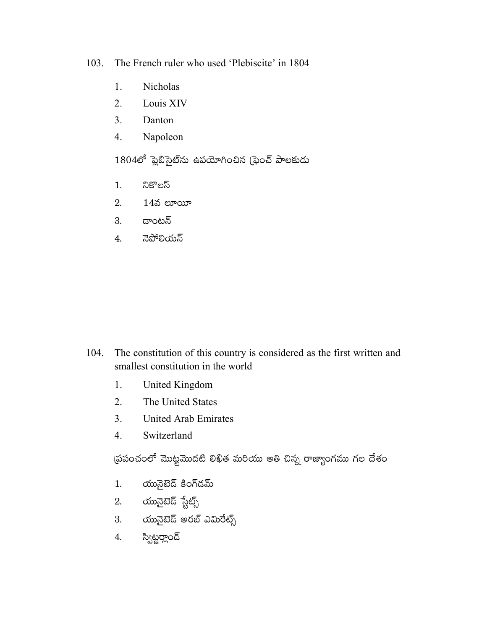103. The French ruler who used 'Plebiscite' in 1804

- 1. Nicholas
- $2.$ Louis XIV
- $\overline{3}$ . Danton
- Napoleon  $\overline{4}$ .

 $1804$ లో ప్లెబిసైట్ను ఉపయోగించిన (ఫెంచ్ పాలకుడు

- నికొలస్  $1.$
- 2.  $14$ వ లూయీ
- డాంటన్ 3.
- నెపోలియన్  $\overline{4}$ .

- The constitution of this country is considered as the first written and 104. smallest constitution in the world
	- $1.$ United Kingdom
	- $2<sub>1</sub>$ The United States
	- $3<sub>1</sub>$ **United Arab Emirates**
	- $4.$ Switzerland

ప్రపంచంలో మొట్టమొదటి లిఖిత మరియు అతి చిన్న రాజ్యాంగము గల దేశం

- యునైటెడ్ కింగ్డమ్ 1.
- 2.  $\omega$ మైటెడ్ స్టేట్స్
- యునైటెడ్ అరబ్ ఎమిరేట్స్ 3.
- స్విట్జర్లాండ్  $4.$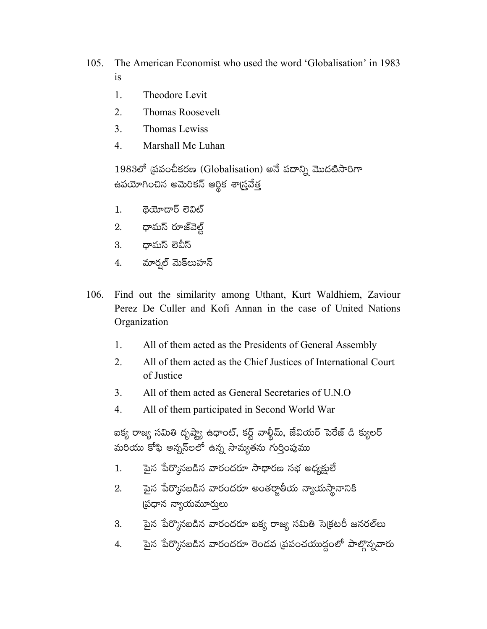- 105. The American Economist who used the word 'Globalisation' in 1983  $is$ 
	- 1. Theodore Levit
	- $\overline{2}$ . **Thomas Roosevelt**
	- $3<sub>1</sub>$ Thomas Lewiss
	- $\overline{4}$ Marshall Mc Luhan

 $1983$ లో (పపంచీకరణ (Globalisation) అనే పదాన్ని మొదటిసారిగా ఉపయోగించిన అమెరికన్ ఆర్థిక శా<mark>స్</mark>రవేత్త

- $\overline{\phi}$ యోదార్ లెవిట్  $1.$
- 2. ధామస్ రూజ్వెల్ట్
- ధామస్ లెవీస్ 3.
- మార్నల్ మెక్<mark>లు</mark>హన్ 4.
- 106. Find out the similarity among Uthant, Kurt Waldhiem, Zaviour Perez De Culler and Kofi Annan in the case of United Nations Organization
	- 1. All of them acted as the Presidents of General Assembly
	- $\overline{2}$ . All of them acted as the Chief Justices of International Court of Justice
	- 3. All of them acted as General Secretaries of U.N.O.
	- $\mathbf{4}$ . All of them participated in Second World War

ఐక్య రాజ్య సమితి దృష్ట్యా ఉధాంట్, కర్ట్ వాల్దీమ్, జేవియర్ పెరేజ్ డి క్యులర్ మరియు కోఫి అన్నస్లలో ఉన్న సామ్యతను గుర్తింపుము

- పైన పేర్కొనబడిన వారందరూ సాధారణ సభ అధ్యక్షులే  $1.$
- పైన పేర్కొనబడిన వారందరూ అంతర్జాతీయ న్యాయస్థానానికి  $\overline{2}$ . (పధాన న్యాయమూరులు
- పైన పేర్కొనబడిన వారందరూ ఐక్య రాజ్య సమితి సెక్రటరీ జనరల్*లు* 3.
- పైన పేర్కొనబడిన వారందరూ రెండవ (పపంచయుద్ధంలో పాల్గొన్నవారు 4.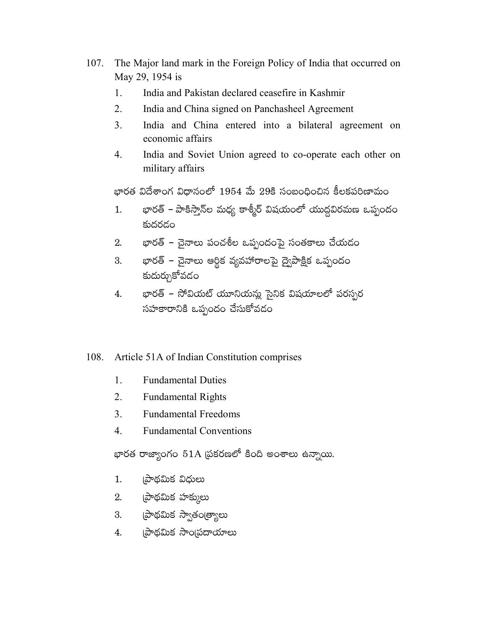- 107. The Major land mark in the Foreign Policy of India that occurred on May 29, 1954 is
	- India and Pakistan declared ceasefire in Kashmir 1.
	- $2<sub>1</sub>$ India and China signed on Panchasheel Agreement
	- 3. India and China entered into a bilateral agreement on economic affairs
	- $\overline{4}$ . India and Soviet Union agreed to co-operate each other on military affairs

భారత విదేశాంగ విధానంలో 1954 మే 29కి సంబంధించిన కీలకపరిణామం

- భారత్ పాకిస్తాన్ల మధ్య కాశ్మీర్ విషయంలో యుద్ధవిరమణ ఒప్పందం  $1.$ కుదరడం
- భారత్ చైనాలు పంచశీల ఒప్పందంపై సంతకాలు చేయడం 2.
- భారత్ చైనాలు ఆర్థిక వ్యవహారాలపై ద్వైపాక్షిక ఒప్పందం 3. కుదుర్చుకోవడం
- భారత్ సోవియట్ యూనియన్లు సైనిక విషయాలలో పరస్పర 4. సహకారానికి ఒప్పందం చేసుకోవడం

# 108. Article 51A of Indian Constitution comprises

- $1.$ **Fundamental Duties**
- $2<sub>1</sub>$ **Fundamental Rights**
- $3<sub>1</sub>$ **Fundamental Freedoms**
- $\overline{4}$ **Fundamental Conventions**

భారత రాజ్యాంగం 51A ప్రకరణలో కింది అంశాలు ఉన్నాయి.

- (పాథమిక విధులు 1.
- 2. ప్రాథమిక హక్కులు
- 3. ప్రాథమిక స్వాతంత్ర్యాలు
- 4. (పాథమిక సాం(పదాయాలు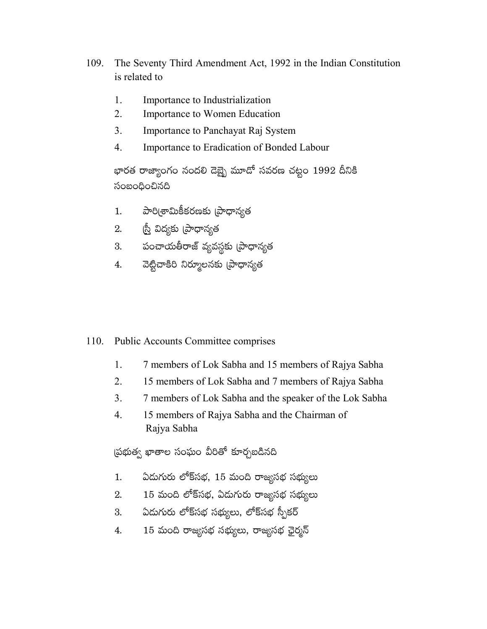- 109. The Seventy Third Amendment Act, 1992 in the Indian Constitution is related to
	- $\mathbf{1}$ . Importance to Industrialization
	- $\overline{2}$ . Importance to Women Education
	- $3<sub>1</sub>$ Importance to Panchayat Raj System
	- $\mathbf{4}$ . Importance to Eradication of Bonded Labour

భారత రాజ్యాంగం నందలి దెబ్భై మూదో సవరణ చట్టం 1992 దీనికి సంబంధించినది

- పారి(శామికీకరణకు (పాధాన్యత  $1.$
- ్రీస్తే విద్యకు (పాధాన్యత 2.
- పంచాయతీరాజ్ వ్యవస్థకు (పాధాన్యత 3.
- వెట్టిచాకిరి నిర్మూలనకు (పాధాన్యత  $\overline{4}$ .

### 110. **Public Accounts Committee comprises**

- 1. 7 members of Lok Sabha and 15 members of Rajya Sabha
- $2<sup>1</sup>$ 15 members of Lok Sabha and 7 members of Rajya Sabha
- $3<sub>1</sub>$ 7 members of Lok Sabha and the speaker of the Lok Sabha
- $\overline{4}$ . 15 members of Rajya Sabha and the Chairman of Rajya Sabha

ప్రభుత్వ ఖాతాల సంఘం వీరితో కూర్చబడినది

- ఏదుగురు లోక్సభ, 15 మంది రాజ్యసభ సభ్యులు  $1.$
- 15 మంది లోక్సభ, ఏడుగురు రాజ్యసభ సభ్యులు  $2.$
- ఏదుగురు లోక్సభ సభ్యులు, లోక్సభ స్పీకర్ 3.
- 15 మంది రాజ్యసభ సభ్యులు, రాజ్యసభ ఛైర్మన్ 4.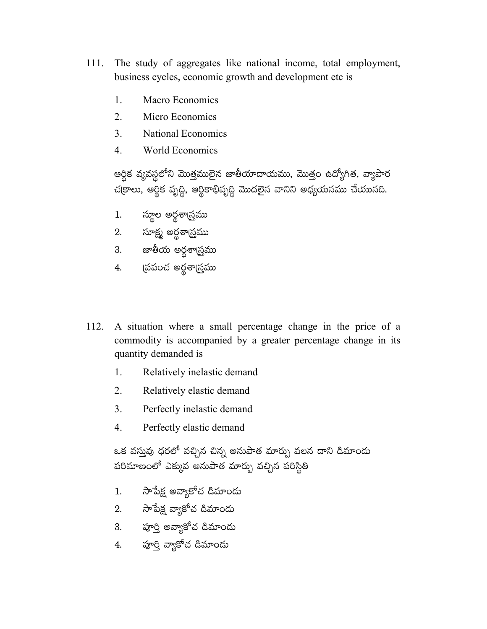- 111. The study of aggregates like national income, total employment, business cycles, economic growth and development etc is
	- $\mathbf{1}$ . **Macro Economics**
	- $2.$ Micro Economics
	- $3<sub>1</sub>$ **National Economics**
	- $\overline{4}$ **World Economics**

ఆర్థిక వ్యవస్థలోని మొత్తములైన జాతీయాదాయము, మొత్తం ఉద్యోగిత, వ్యాపార చక్రాలు, ఆర్థిక వృద్ధి, ఆర్థికాభివృద్ధి మొదలైన వానిని అధ్యయనము చేయునది.

- స్థూల అర్థశాగ్ర్తము  $1.$
- 2. సూక్ష్మ అర్దశా<u>గ్ర</u>ము
- 3. జాతీయ అర్థశాగ్ర్తము
- 4. స్రేపంచ అర్థశాస్త్రము
- 112. A situation where a small percentage change in the price of a commodity is accompanied by a greater percentage change in its quantity demanded is
	- 1. Relatively inelastic demand
	- $2.$ Relatively elastic demand
	- $3<sub>1</sub>$ Perfectly inelastic demand
	- $\overline{4}$ . Perfectly elastic demand

ఒక వస్తువు ధరలో వచ్చిన చిన్న అనుపాత మార్పు వలన దాని డిమాందు పరిమాణంలో ఎక్కువ అనుపాత మార్పు వచ్చిన పరిస్థితి

- 1. సాపేక్ష అవ్యాకోచ డిమాందు
- 2. సాపేక్ష వ్యాకోచ డిమాందు
- 3. పూర్తి అవ్యాకోచ డిమాందు
- 4. పూర్తి వ్యాకోచ డిమాందు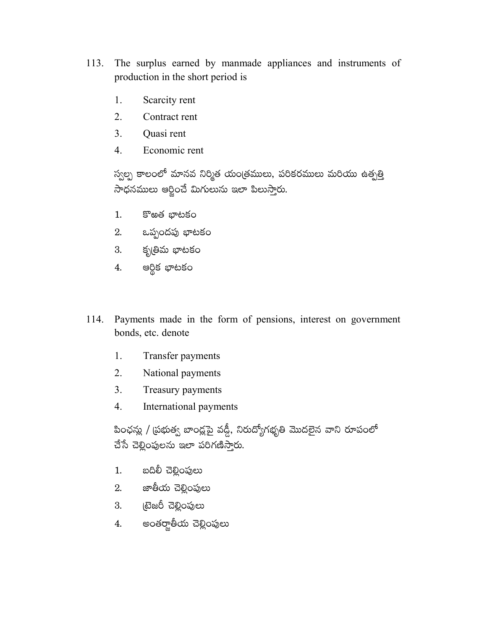- 113. The surplus earned by manmade appliances and instruments of production in the short period is
	- 1. Scarcity rent
	- $2.$ Contract rent
	- $3<sub>1</sub>$ Quasi rent
	- $\overline{4}$ . Economic rent

స్వల్ప కాలంలో మానవ నిర్మిత యంత్రములు, పరికరములు మరియు ఉత్పత్తి సాధనములు ఆర్జించే మిగులును ఇలా పిలుస్తారు.

- కొఱత భాటకం  $1.$
- 2. ఒప్పందపు భాటకం
- 3. కృతిమ భాటకం
- 4. ఆర్థిక భాటకం
- 114. Payments made in the form of pensions, interest on government bonds, etc. denote
	- $1.$ Transfer payments
	- $2.$ National payments
	- $3<sub>1</sub>$ Treasury payments
	- $\overline{4}$ . International payments

పింఛన్లు / (పభుత్వ బాంద్లపై వడ్డీ, నిరుద్యోగభృతి మొదలైన వాని రూపంలో చేసే చెల్లింపులను ఇలా పరిగణిస్తారు.

- బదిలీ చెల్లింపులు  $1.$
- 2. జాతీయ చెల్లింపులు
- 3. టైజరీ చెల్లింపులు
- అంతర్జాతీయ చెల్లింపులు 4.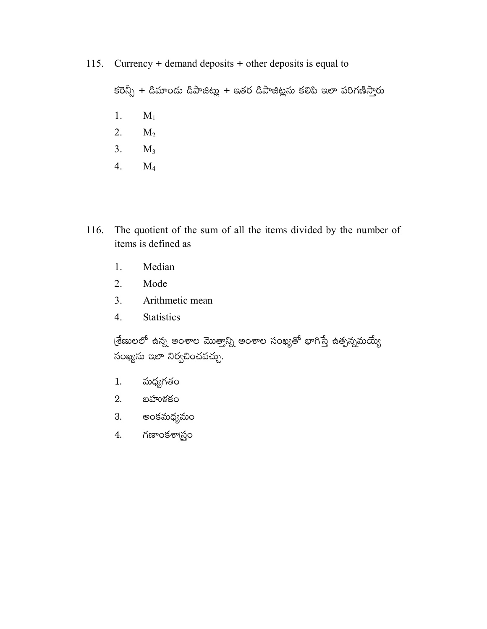Currency  $+$  demand deposits  $+$  other deposits is equal to 115.

కరెన్సీ + డిమాందు డిపాజిట్లు + ఇతర డిపాజిట్లను కలిపి ఇలా పరిగణిస్తారు

- $M_1$ 1.
- 2.  $M_2$
- $3.$  $M_3$
- $4.$  $M_4$
- The quotient of the sum of all the items divided by the number of 116. items is defined as
	- 1. Median
	- 2. Mode
	- $3<sub>1</sub>$ Arithmetic mean
	- 4. Statistics

(శేణులలో ఉన్న అంశాల మొత్తాన్ని అంశాల సంఖ్యతో భాగిస్తే ఉత్పన్నమయ్యే సంఖ్యను ఇలా నిర్వచించవచ్చు.

- మధ్యగతం  $1.$
- $2.$   $\omega$ హుళకం
- 3. అంకమధ్యమం
- గణాంకశాస్త్రం 4.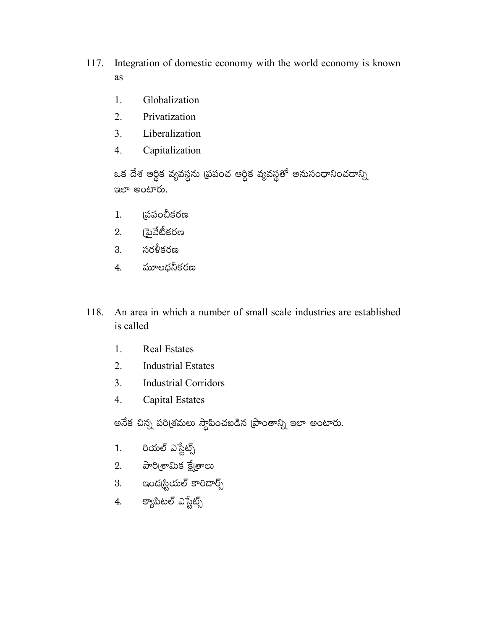- 117. Integration of domestic economy with the world economy is known as
	- 1. Globalization
	- $2.$ Privatization
	- $3<sub>1</sub>$ Liberalization
	- Capitalization  $\overline{4}$ .

ఒక దేశ ఆర్థిక వ్యవస్థను <mark>(పపంచ ఆర్థిక వ్యవస్థతో అనుసంధానించ</mark>డాన్ని ఇలా అంటారు.

- ౹పపంచీకరణ  $1.$
- 2. (పైవేటీకరణ
- 3. సరళీకరణ
- 4. మూలధనీకరణ
- An area in which a number of small scale industries are established 118. is called
	- 1. **Real Estates**
	- 2. **Industrial Estates**
	- $3<sub>1</sub>$ **Industrial Corridors**
	- $\overline{4}$ . **Capital Estates**

అనేక చిన్న పరిశ్రమలు స్థాపించబడిన (పాంతాన్ని ఇలా అంటారు.

- రియల్ ఎస్టేట్స్  $1.$
- 2. పారి(శామిక క్షే[తాలు
- 3. ఇంద్కస్టియల్ కారిడార్స్
- 4. క్యాపిటల్ ఎస్టేట్స్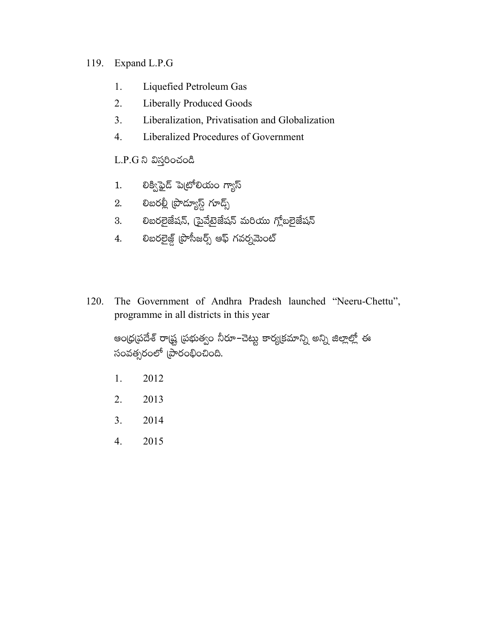# 119. Expand L.P.G

- Liquefied Petroleum Gas 1.
- 2. **Liberally Produced Goods**
- $3<sub>1</sub>$ Liberalization, Privatisation and Globalization
- $\overline{4}$ . Liberalized Procedures of Government

L.P.G ని విస్తరించండి

- లిక్విఫైడ్ పెట్రోలియం గ్యాస్  $1.$
- 2. లిబరల్లీ (పొద్యూస్ట్ గూడ్స్
- 3. లిబరలైజేషన్, (పైవేటైజేషన్ మరియు గ్లోబలైజేషన్
- లిబరలైజ్డ్ (పొసీజర్స్ ఆఫ్ గవర్నమెంట్ 4.
- The Government of Andhra Pradesh launched "Neeru-Chettu", 120. programme in all districts in this year

అంధ్రప్రదేశ్ రాష్ట్ర ప్రభుత్వం నీరూ–చెట్టు కార్యక్రమాన్ని అన్ని జిల్లాల్లో ఈ సంవత్సరంలో (పారంభించింది.

- 1. 2012
- 2. 2013
- $3<sub>1</sub>$ 2014
- $4.$ 2015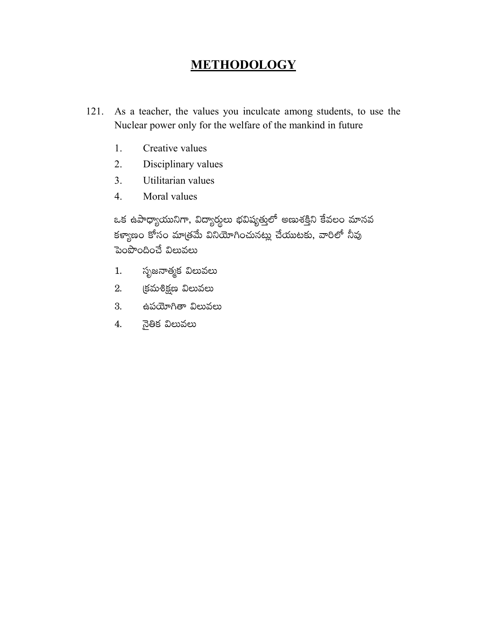# METHODOLOGY

- 121. As a teacher, the values you inculcate among students, to use the Nuclear power only for the welfare of the mankind in future
	- 1. Creative values
	- 2. Disciplinary values
	- $\overline{3}$ . Utilitarian values
	- $\overline{4}$ . Moral values

ఒక ఉపాధ్యాయునిగా, విద్యార్థులు భవిష్యత్తులో అణుశక్తిని కేవలం మానవ కళ్యాణం కోసం మాత్రమే వినియోగించునట్లు చేయుటకు, వారిలో నీవు పెంపొందించే విలువలు

- సృజనాత్మక విలువలు 1.
- 2. క్రమశిక్షణ విలువలు
- 3. ఉపయోగితా విలువలు
- నైతిక విలువలు 4.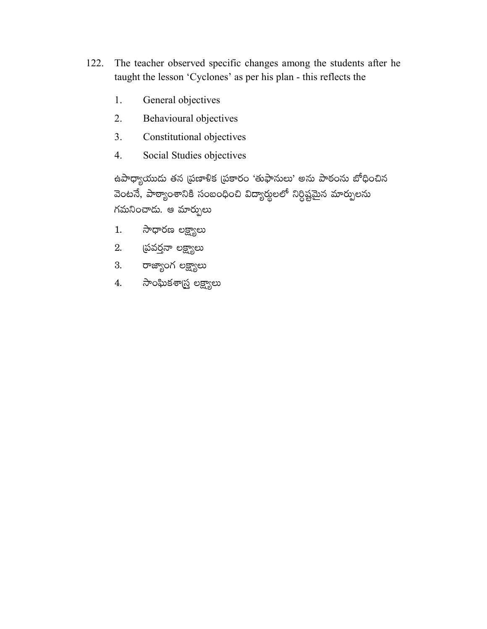- 122. The teacher observed specific changes among the students after he taught the lesson 'Cyclones' as per his plan - this reflects the
	- General objectives 1.
	- $2.$ Behavioural objectives
	- 3. Constitutional objectives
	- $\overline{4}$ . Social Studies objectives

ఉపాధ్యాయుడు తన (పణాళిక (పకారం 'తుఫానులు' అను పాఠంను బోధించిన వెంటనే, పాఠ్యాంశానికి సంబంధించి విద్యార్థులలో నిర్ధిష్టమైన మార్పులను గమనించాడు. ఆ మార్పులు

- సాధారణ లక్ష్యాలు  $1.$
- 2. స్రవర్తనా లక్ష్యాలు
- 3. రాజ్యాంగ లక్ష్యాలు
- 4. సాంఘికశాస్త్ర లక్ష్యాలు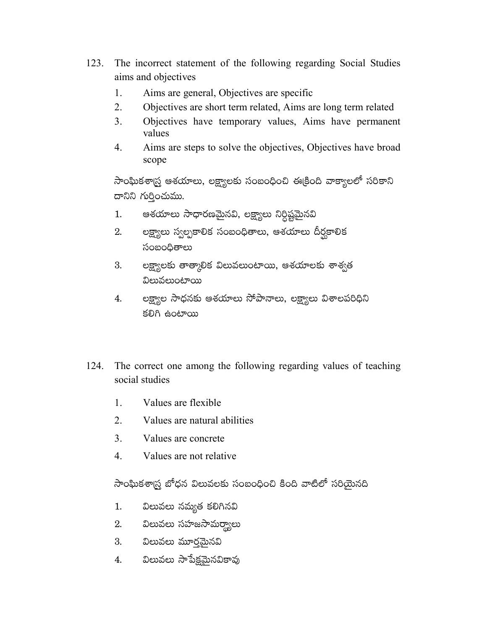- 123. The incorrect statement of the following regarding Social Studies aims and objectives
	- $\mathbf{1}$ . Aims are general, Objectives are specific
	- $2^{\circ}$ Objectives are short term related. Aims are long term related
	- $3<sub>1</sub>$ Objectives have temporary values, Aims have permanent values
	- 4. Aims are steps to solve the objectives, Objectives have broad scope

సాంఘికశాస్ర్త ఆశయాలు, లక్ష్యాలకు సంబంధించి ఈక్రింది వాక్యాలలో సరికాని దానిని గుర్తించుము.

- ఆశయాలు సాధారణమైనవి, లక్ష్యాలు నిర్దిష్టమైనవి  $1.$
- లక్ష్యాలు స్వల్పకాలిక సంబంధితాలు, ఆశయాలు దీర్ఘకాలిక 2. సంబంధితాలు
- లక్ష్యాలకు తాత్కాలిక విలువలుంటాయి, ఆశయాలకు శాశ్వత 3. విలువలుంటాయి
- లక్ష్యాల సాధనకు ఆశయాలు సోపానాలు, లక్ష్యాలు విశాలపరిధిని 4. కలిగి ఉంటాయి
- 124. The correct one among the following regarding values of teaching social studies
	- $1.$ Values are flexible
	- $2<sub>1</sub>$ Values are natural abilities
	- $3<sub>1</sub>$ Values are concrete
	- $\overline{4}$ . Values are not relative

సాంఘికశా(స్త బోధన విలువలకు సంబంధించి కింది వాటిలో సరియైనది

- $1.$ విలువలు నమ్యత కలిగినవి
- 2. విలువలు సహజసామర్థ్యాలు
- 3. విలువలు మూరమైనవి
- విలువలు సాపేక్షమైనవికావు 4.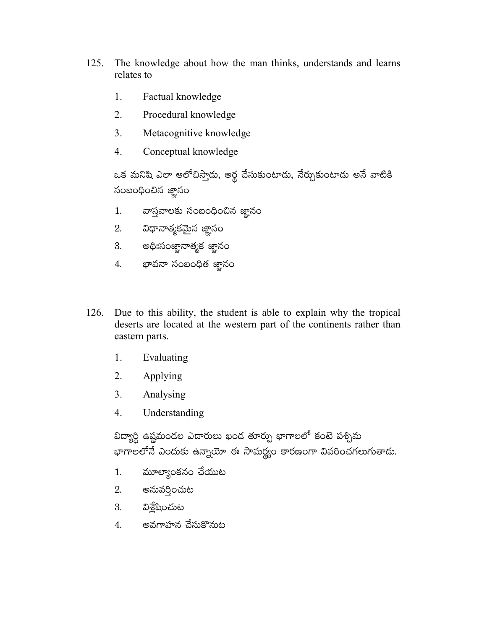- 125. The knowledge about how the man thinks, understands and learns relates to
	- 1. Factual knowledge
	- $2<sub>1</sub>$ Procedural knowledge
	- $3<sub>1</sub>$ Metacognitive knowledge
	- $\overline{4}$ . Conceptual knowledge

ఒక మనిషి ఎలా ఆలోచిస్తాడు, అర్థ చేసుకుంటాడు, నేర్చుకుంటాడు అనే వాటికి సంబంధించిన జ్ఞానం

- వాస్తవాలకు సంబంధించిన జ్ఞానం  $1.$
- విధానాత్మకమైన జ్ఞానం 2.
- 3. అథిఃసంజ్ఞానాత్మక జ్ఞానం
- 4. భావనా సంబంధిత జ్ఞానం
- 126. Due to this ability, the student is able to explain why the tropical deserts are located at the western part of the continents rather than eastern parts.
	- 1. Evaluating
	- 2. Applying
	- $3<sub>1</sub>$ Analysing
	- $\overline{4}$ . Understanding

విద్యార్థి ఉష్ణమండల ఎడారులు ఖండ తూర్పు భాగాలలో కంటె పశ్చిమ భాగాలలోనే ఎందుకు ఉన్నాయో ఈ సామర్థ్యం కారణంగా వివరించగలుగుతాదు.

- మూల్యాంకనం చేయుట  $1.$
- 2. అనువరించుట
- 3. విశ్రేషించుట
- అవగాహన చేసుకొనుట 4.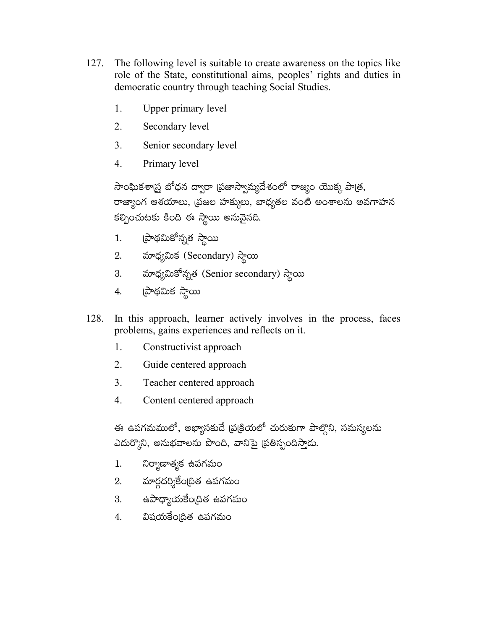- 127. The following level is suitable to create awareness on the topics like role of the State, constitutional aims, peoples' rights and duties in democratic country through teaching Social Studies.
	- 1. Upper primary level
	- 2. Secondary level
	- $\overline{3}$ . Senior secondary level
	- $\overline{4}$ Primary level

సాంఘికశాస్త్ర బోధన ద్వారా (పజాస్వామ్యదేశంలో రాజ్యం యొక్క పాత్ర, రాజ్యాంగ ఆశయాలు, (పజల హక్కులు, బాధ్యతల వంటి అంశాలను అవగాహన కల్పించుటకు కింది ఈ స్థాయి అనువైనది.

- (పాథమికోన్నత స్థాయి  $1.$
- 2. మాధ్యమిక (Secondary) స్థాయి
- 3. మాధ్యమికోన్నత (Senior secondary) స్థాయి
- ప్రాథమిక స్థాయి 4.
- 128. In this approach, learner actively involves in the process, faces problems, gains experiences and reflects on it.
	- 1. Constructivist approach
	- $2.$ Guide centered approach
	- $3<sub>1</sub>$ Teacher centered approach
	- $\mathbf{4}$ . Content centered approach

ఈ ఉపగమములో, అభ్యాసకుదే (ప్రక్రియలో చురుకుగా పాల్తొని, సమస్యలను ఎదుర్కొని, అనుభవాలను పొంది, వానిపై ద్రతిస్పందిస్తాడు.

- నిర్మాణాత్మక ఉపగమం  $1.$
- మార్గదర్శికేంద్రిత ఉపగమం 2.
- 3. ఉపాధ్యాయకేంద్రిత ఉపగమం
- 4. విషయకేంఠదిత ఉపగమం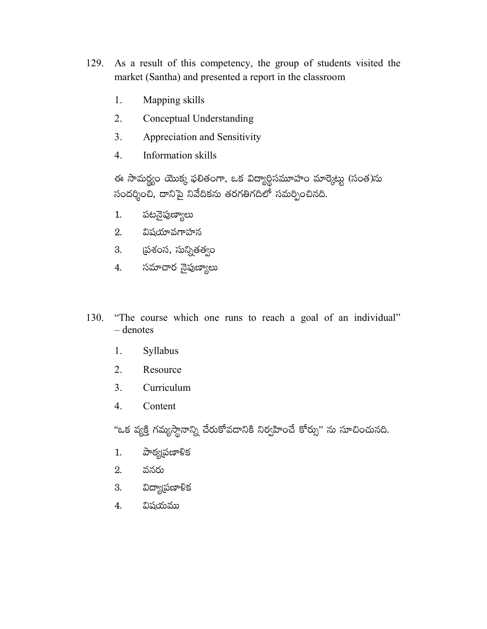- As a result of this competency, the group of students visited the 129. market (Santha) and presented a report in the classroom
	- 1. Mapping skills
	- $2.$ Conceptual Understanding
	- Appreciation and Sensitivity 3.
	- $\overline{4}$ . Information skills

ఈ సామర్థ్యం యొక్క ఫలితంగా, ఒక విద్యార్థిసమూహం మార్కెట్టు (సంత)ను సందర్శించి, దానిపై నివేదికను తరగతిగదిలో సమర్పించినది.

- పటనైపుణ్యాలు  $1.$
- 2. విషయావగాహన
- 3. స్రవరస, సున్నితత్వం
- 4. సమాచార నైపుణ్యాలు
- "The course which one runs to reach a goal of an individual" 130.  $-\$  denotes
	- Syllabus 1.
	- $\overline{2}$ . Resource
	- 3. Curriculum
	- $4.$ Content

"ఒక వ్యక్తి గమ్యస్థానాన్ని చేరుకోవడానికి నిర్వహించే కోర్సు" ను సూచించునది.

- పాఠ్యద్రణాళిక  $1.$
- వనరు 2.
- విద్యా(పణాళిక 3.
- విషయము 4.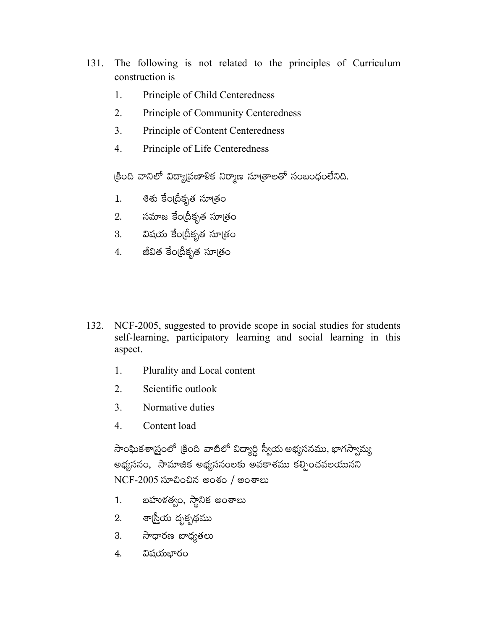- 131. The following is not related to the principles of Curriculum construction is
	- $\mathbf{1}$ . Principle of Child Centeredness
	- $2.$ **Principle of Community Centeredness**
	- $3<sub>1</sub>$ Principle of Content Centeredness
	- $\overline{4}$ . Principle of Life Centeredness

క్రింది వానిలో విద్యాప్రణాళిక నిర్మాణ సూత్రాలతో సంబంధంలేనిది.

- శిశు కేంద్రీకృత సూత్రం  $1.$
- 2. సమాజ కేంద్రీకృత సూత్రం
- 3. విషయ కేంద్రీకృత సూత్రం
- జీవిత కేం(దీకృత సూత్రం 4.
- 132. NCF-2005, suggested to provide scope in social studies for students self-learning, participatory learning and social learning in this aspect.
	- Plurality and Local content 1.
	- Scientific outlook  $2.$
	- 3. Normative duties
	- $\overline{4}$ Content load

సాంఘికశాద్ర్తంలో క్రింది వాటిలో విద్యార్థి స్వీయ అభ్యసనము, భాగస్వామ్య అభ్యసనం, సామాజిక అభ్యసనంలకు అవకాశము కల్పించవలయునని  $NCF-2005$  ಸూವಿಂವಿನ ಅಂಕಂ / ಅಂಕಾಲು

- బహుళత్వం, స్థానిక అంశాలు  $1.$
- 2. శాస్ర్తీయ దృక్పథము
- 3. సాధారణ బాధ్యతలు
- విషయభారం 4.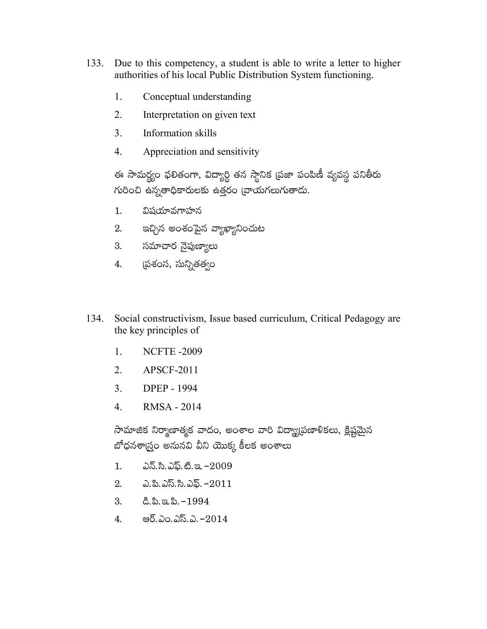- Due to this competency, a student is able to write a letter to higher 133. authorities of his local Public Distribution System functioning.
	- 1. Conceptual understanding
	- $2<sub>1</sub>$ Interpretation on given text
	- $3<sub>1</sub>$ Information skills
	- 4. Appreciation and sensitivity

ఈ సామర్థ్యం ఫలితంగా, విద్యార్థి తన స్థానిక (పజా పంపిణీ వ్యవస్థ పనితీరు గురించి ఉన్నతాధికారులకు ఉత్తరం వ్రాయగలుగుతాదు.

- విషయావగాహన  $1<sub>1</sub>$
- ఇచ్చిన అంశంపైన వ్యాఖ్యానించుట  $2.$
- 3. సమాచార నైపుణ్యాలు
- 4. ప్రశంస, సున్నితత్వం
- 134. Social constructivism, Issue based curriculum, Critical Pedagogy are the key principles of
	- $1.$ **NCFTE-2009**
	- $2.$ **APSCF-2011**
	- 3. **DPEP - 1994**
	- $\overline{4}$ . **RMSA - 2014**

సామాజిక నిర్మాణాత్మక వాదం, అంశాల వారి విద్యా్యపణాళికలు, క్లిష్టమైన బోధనశాగ్ర్తం అనునవి వీని యొక్క కీలక అంశాలు

- ఎన్.సి.ఎఫ్.టి.ఇ. –2009  $1.$
- 2.  $\Delta$ .పి.ఎస్.సి.ఎఫ్. – $2011$
- $3.$   $8.3.3.3. 1994$
- ఆర్.ఎం.ఎస్.ఎ. –2014 4.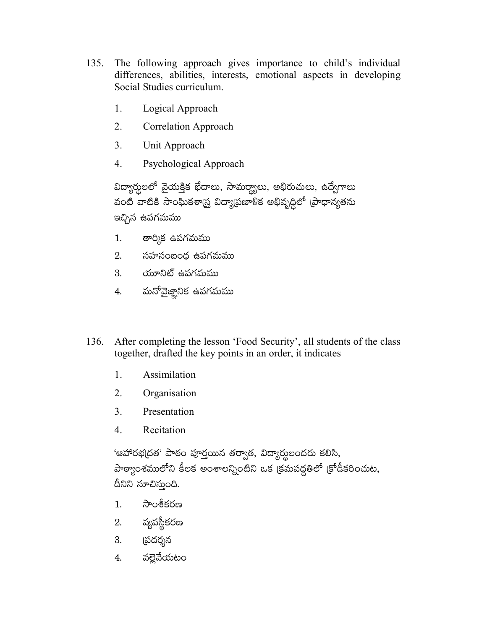- 135. The following approach gives importance to child's individual differences, abilities, interests, emotional aspects in developing Social Studies curriculum.
	- 1. Logical Approach
	- 2. **Correlation Approach**
	- $3<sub>1</sub>$ Unit Approach
	- $\overline{4}$ Psychological Approach

విద్యార్థులలో వైయక్తిక భేదాలు, సామర్థ్యాలు, అభిరుచులు, ఉద్వేగాలు వంటి వాటికి సాంఘికశా్న్త విద్యాపణాళిక అభివృద్దిలో (పాధాన్యతను ఇచ్చిన ఉపగమము

- తార్మిక ఉపగమము  $1.$
- 2. సహసంబంధ ఉపగమము
- 3. యూనిట్ ఉపగమము
- మనోవైజ్ఞానిక ఉపగమము  $\overline{4}$ .
- 136. After completing the lesson 'Food Security', all students of the class together, drafted the key points in an order, it indicates
	- Assimilation  $1_{\cdot}$
	- 2. Organisation
	- 3. Presentation
	- 4. Recitation

'ఆహారభ(దత' పాఠం పూర్తయిన తర్వాత, విద్యార్థులందరు కలిసి, పాఠ్యాంశములోని కీలక అంశాలన్నింటిని ఒక క్రమపద్ధతిలో క్రోడీకరించుట, దీనిని సూచిస్తుంది.

- సాంశీకరణ  $1.$
- వ్యవస్థీకరణ 2.
- <u>(</u>పదర్శన 3.
- వల్లెవేయటం 4.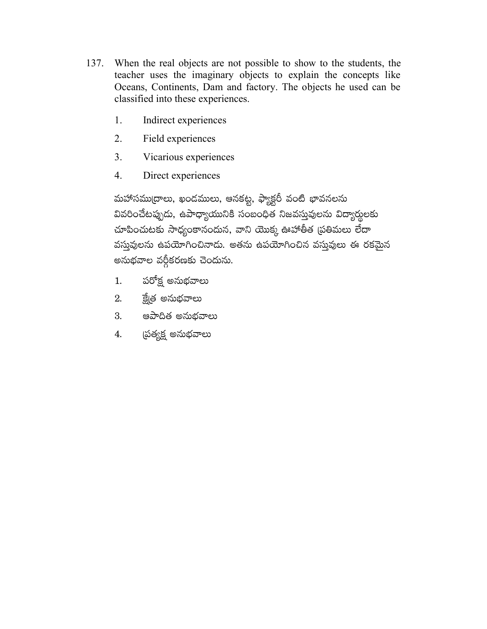- 137. When the real objects are not possible to show to the students, the teacher uses the imaginary objects to explain the concepts like Oceans, Continents, Dam and factory. The objects he used can be classified into these experiences.
	- 1. Indirect experiences
	- $2<sub>1</sub>$ Field experiences
	- $3<sub>1</sub>$ Vicarious experiences
	- $\overline{4}$ . Direct experiences

మహాసముద్రాలు, ఖండములు, ఆనకట్ట, ఫ్యాక్టరీ వంటి భావనలను వివరించేటప్పుడు, ఉపాధ్యాయునికి సంబంధిత నిజవస్తువులను విద్యార్థులకు చూపించుటకు సాధ్యంకానందున, వాని యొక్క ఊహాతీత (పతిమలు లేదా వస్తువులను ఉపయోగించినాదు. అతను ఉపయోగించిన వస్తువులు ఈ రకమైన అనుభవాల వర్గీకరణకు చెందును.

- పరోక్ష అనుభవాలు  $1.$
- క్టే(త అనుభవాలు 2.
- 3. ఆపాదిత అనుభవాలు
- ద్రత్యక్ష అనుభవాలు 4.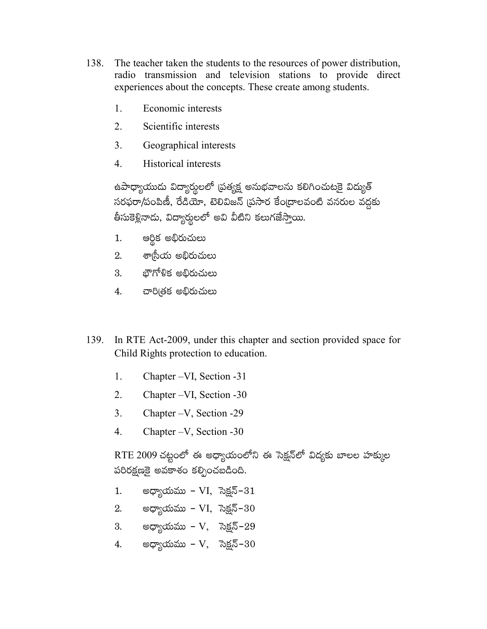- 138. The teacher taken the students to the resources of power distribution, radio transmission and television stations to provide direct experiences about the concepts. These create among students.
	- 1. Economic interests
	- $\overline{2}$ . Scientific interests
	- $3<sub>1</sub>$ Geographical interests
	- $\overline{4}$ **Historical interests**

ఉపాధ్యాయుదు విద్యార్శలలో (పత్యక్ష అనుభవాలను కలిగించుటకై విద్యుత్ సరఫరా/పంపిణీ, రేడియో, టెలివిజన్ (పసార కేం[దాలవంటి వనరుల వద్దకు తీసుకెళ్లినాదు, విద్యార్థులలో అవి వీటిని కలుగజేస్తాయి.

- ఆర్థిక అభిరుచులు  $1.$
- 2. శా్సీయ అభిరుచులు
- 3. భౌగోళిక అభిరుచులు
- 4. చారిత్రక అభిరుచులు
- 139. In RTE Act-2009, under this chapter and section provided space for Child Rights protection to education.
	- $1.$ Chapter - VI, Section - 31
	- $2.$ Chapter – VI, Section - 30
	- 3. Chapter  $-V$ , Section -29
	- $\overline{4}$ . Chapter  $-V$ , Section -30

 $RTE 2009$ చట్టంలో ఈ అధ్యాయంలోని ఈ సెక్షన్లో విదృకు బాలల హక్కుల పరిరక్షణకై అవకాశం కల్పించబడింది.

- అధ్యాయము VI, సెక్షన్– $31$  $1.$
- 2. అధ్యాయము VI, సెక్షన్–30
- అధ్యాయము V $\,$  సెక్షన్–29 3.
- అధ్యాయము V $,$  సెక్షన్– $30$ 4.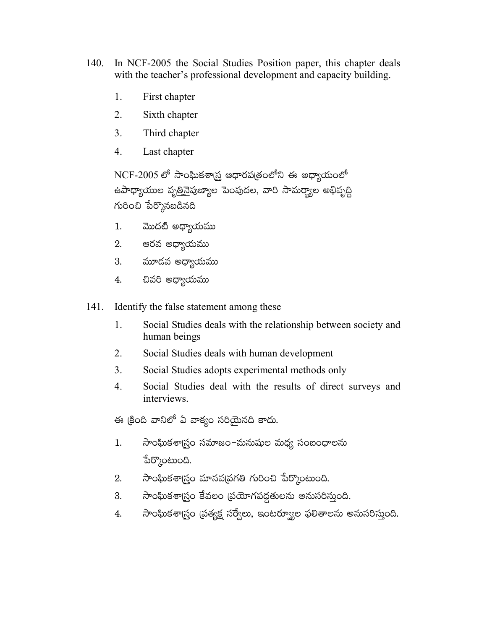- 140. In NCF-2005 the Social Studies Position paper, this chapter deals with the teacher's professional development and capacity building.
	- 1. First chapter
	- $2<sub>1</sub>$ Sixth chapter
	- $3<sub>1</sub>$ Third chapter
	- 4. Last chapter

NCF-2005 లో సాంఘికశాగ్ర ఆధారపత్రంలోని ఈ అధ్యాయంలో ఉపాధ్యాయుల వృ<u>త</u>ినైపుణ్యాల పెంపుదల, వారి సామర్థ్యాల అభివృద్ధి గురించి పేర్కొనబడినది

- మొదటి అధ్యాయము  $1.$
- ఆరవ అధ్యాయము 2.
- 3. మూడవ అధ్యాయము
- 4. చివరి అధ్యాయము
- $141.$ Identify the false statement among these
	- Social Studies deals with the relationship between society and  $1_{\cdot}$ human beings
	- 2. Social Studies deals with human development
	- $3<sub>1</sub>$ Social Studies adopts experimental methods only
	- $\overline{4}$ . Social Studies deal with the results of direct surveys and interviews.

ఈ క్రింది వానిలో ఏ వాక్యం సరియైనది కాదు.

- సాంఘికశాస్ర్టం సమాజం–మనుషుల మధ్య సంబంధాలను  $1.$ పేర్కొంటుంది.
- సాంఘికశా(స్టం మానవ(పగతి గురించి పేర్కొంటుంది.  $2.$
- సాంఘికశాస్త్రం కేవలం (పయోగపద్ధతులను అనుసరిస్తుంది. 3.
- సాంఘికశాస్ర్టం ప్రత్యక్ష సర్వేలు, ఇంటర్యూల ఫలితాలను అనుసరిస్తుంది. 4.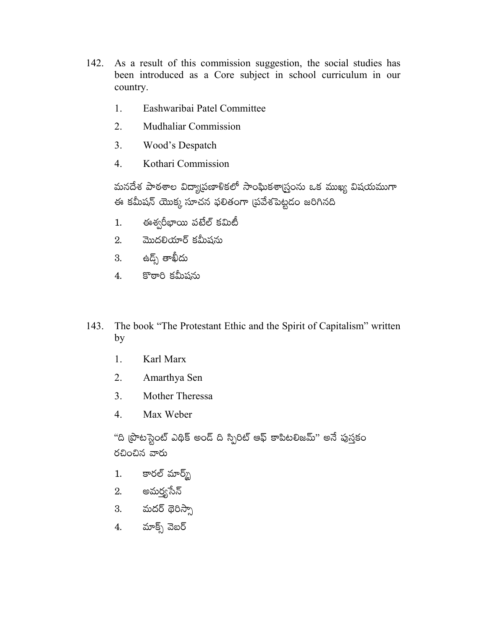- 142. As a result of this commission suggestion, the social studies has been introduced as a Core subject in school curriculum in our country.
	- 1. Eashwaribai Patel Committee
	- $2.$ **Mudhaliar Commission**
	- $3<sub>1</sub>$ Wood's Despatch
	- $\overline{4}$ Kothari Commission

మనదేశ పాఠశాల విద్యా[పణాళికలో సాంఘికశా[స్తంను ఒక ముఖ్య విషయముగా ఈ కమీషన్ యొక్క సూచన ఫలితంగా (పవేశపెట్టడం జరిగినది

- ఈశ్వరీభాయి పటేల్ కమిటీ  $1.$
- మొదలియార్ కమీషను 2.
- 3. ఉద్ప్ తాఖీదు
- కొఠారి కమీషను  $\overline{4}$ .

The book "The Protestant Ethic and the Spirit of Capitalism" written 143. by

- $1<sub>1</sub>$ Karl Marx
- 2. Amarthya Sen
- 3. Mother Theressa
- $\overline{4}$ . Max Weber

"ది (పొటస్టైంట్ ఎథిక్ అండ్ ది స్పిరిట్ ఆఫ్ కాపిటలిజమ్" అనే పుస్తకం రచించిన వారు

- కారల్ మార్మ్  $1.$
- 2. అమర్త్రసేన్
- 3. మదర్ థెరిస్సా
- 4. మాక్స్ వెబర్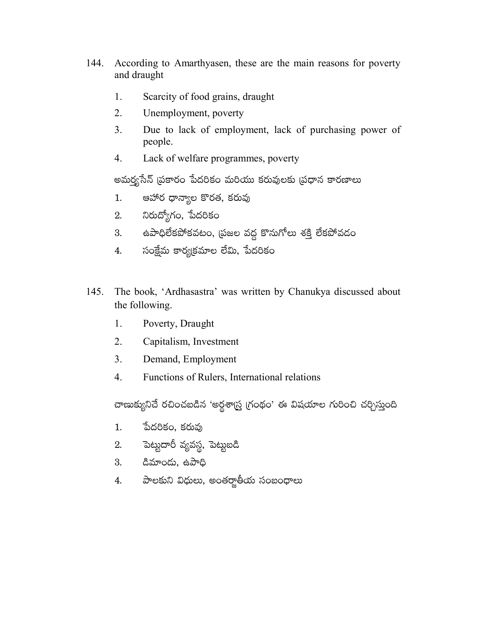- 144. According to Amarthyasen, these are the main reasons for poverty and draught
	- Scarcity of food grains, draught 1.
	- $2.$ Unemployment, poverty
	- $3<sub>1</sub>$ Due to lack of employment, lack of purchasing power of people.
	- $\overline{4}$ . Lack of welfare programmes, poverty

అమర్త్యసేన్ (పకారం పేదరికం మరియు కరువులకు (పధాన కారణాలు

- ఆహార ధాన్యాల కొరత, కరువు  $1.$
- నిరుద్యోగం, పేదరికం 2.
- ఉపాధిలేకపోకవటం, (పజల వద్ద కొనుగోలు శక్తి లేకపోవడం 3.
- సంక్షేమ కార్యక్రమాల లేమి, పేదరికం 4.
- 145. The book, 'Ardhasastra' was written by Chanukya discussed about the following.
	- 1. Poverty, Draught
	- $\overline{2}$ . Capitalism, Investment
	- 3. Demand, Employment
	- $\overline{4}$ . Functions of Rulers, International relations

చాణుక్యునిచే రచించబడిన 'అర్థశాద్ర్ (గంథం' ఈ విషయాల గురించి చర్చిస్తుంది

- పేదరికం, కరువు 1.
- పెట్టుదారీ వ్యవస్థ, పెట్టుబడి 2.
- 3. డిమాందు, ఉపాధి
- 4. పాలకుని విధులు, అంతర్జాతీయ సంబంధాలు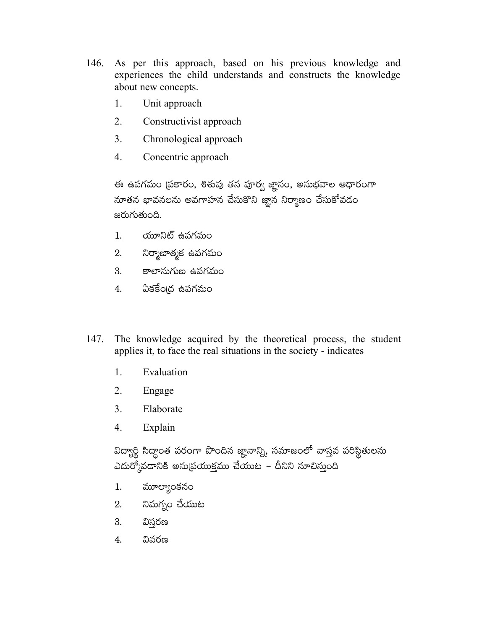- 146. As per this approach, based on his previous knowledge and experiences the child understands and constructs the knowledge about new concepts.
	- 1. Unit approach
	- $2<sub>1</sub>$ Constructivist approach
	- 3. Chronological approach
	- $\overline{4}$ . Concentric approach

ఈ ఉపగమం (పకారం, శిశువు తన పూర్వ జ్ఞానం, అనుభవాల ఆధారంగా నూతన భావనలను అవగాహన చేసుకొని జ్ఞాన నిర్మాణం చేసుకోవదం జరుగుతుంది.

- $1.$ యూనిట్ ఉపగమం
- నిర్మాణాత్మక ఉపగమం 2.
- 3. కాలానుగుణ ఉపగమం
- 4. ఏకకేంద్ర ఉపగమం
- 147. The knowledge acquired by the theoretical process, the student applies it, to face the real situations in the society - indicates
	- 1. Evaluation
	- $2<sub>1</sub>$ Engage
	- $3<sub>1</sub>$ Elaborate
	- $\overline{4}$ . Explain

విద్యార్థి సిద్దాంత పరంగా పొందిన జ్ఞానాన్ని, సమాజంలో వాస్తవ పరిస్థితులను ఎదుర్కోవడానికి అనుబ్రయుక్తము చేయుట – దీనిని సూచిస్తుంది

- మూల్యాంకనం  $1.$
- నిమగ్నం చేయుట 2.
- 3. విస్తరణ
- 4. వివరణ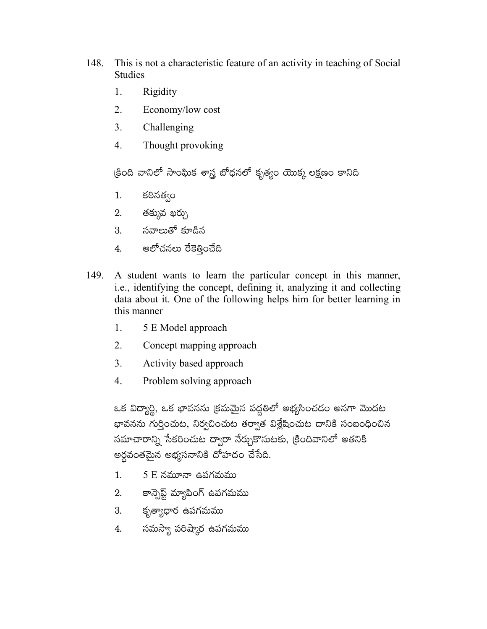- 148. This is not a characteristic feature of an activity in teaching of Social **Studies** 
	- 1. Rigidity
	- $\overline{2}$ . Economy/low cost
	- $3<sub>1</sub>$ Challenging
	- $\overline{4}$ . Thought provoking

క్రింది వానిలో సాంఘిక శాస్త్ర బోధనలో కృత్యం యొక్క లక్షణం కానిది

- కఠినత్వం 1.
- తక్కువ ఖర్చు 2.
- 3. సవాలుతో కూడిన
- ఆలోచనలు రేకెత్తించేది 4.
- 149. A student wants to learn the particular concept in this manner, i.e., identifying the concept, defining it, analyzing it and collecting data about it. One of the following helps him for better learning in this manner
	- 1. 5 E Model approach
	- $2.$ Concept mapping approach
	- 3. Activity based approach
	- $\overline{4}$ . Problem solving approach

ఒక విద్యార్థి, ఒక భావనను క్రమమైన పద్ధతిలో అభ్యసించదం అనగా మొదట భావనను గుర్తించుట, నిర్వచించుట తర్వాత విశ్లేషించుట దానికి సంబంధించిన సమాచారాన్ని సేకరించుట ద్వారా నేర్చుకొనుటకు, క్రిందివానిలో అతనికి అర్థవంతమైన అభ్యసనానికి దోహదం చేసేది.

- $5E$  నమూనా ఉపగమము  $1.$
- కాన్సెప్ట్ మ్యాపింగ్ ఉపగమము 2.
- కృత్యాధార ఉపగమము 3.
- 4. సమస్యా పరిష్కార ఉపగమము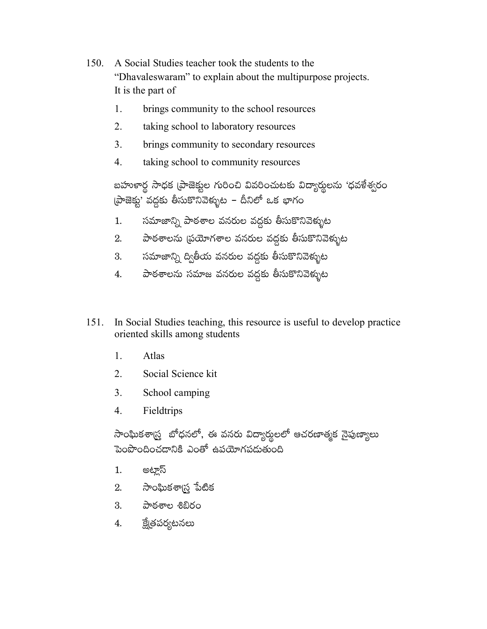- 150. A Social Studies teacher took the students to the "Dhavaleswaram" to explain about the multipurpose projects. It is the part of
	- $\mathbf{1}$ . brings community to the school resources
	- $2.$ taking school to laboratory resources
	- $\overline{3}$ . brings community to secondary resources
	- $\overline{4}$ . taking school to community resources

బహుకార్థ సాధక (పాజెక్టుల గురించి వివరించుటకు విద్యార్థులను 'ధవకేశ్వరం (పాజెక్టు' వద్దకు తీసుకొనివెళ్ళుట – దీనిలో ఒక భాగం

- సమాజాన్ని పాఠశాల వనరుల వద్దకు తీసుకొనివెళ్ళుట  $1.$
- 2. పాఠశాలను ప్రయోగశాల వనరుల వద్దకు తీసుకొనివెళ్ళుట
- 3. సమాజాన్ని ద్వితీయ వనరుల వద్దకు తీసుకొనివెళ్ళుట
- పాఠశాలను సమాజ వనరుల వద్దకు తీసుకొనివెళ్ళుట 4.
- $151.$ In Social Studies teaching, this resource is useful to develop practice oriented skills among students
	- $1.$ Atlas
	- Social Science kit 2.
	- $3.$ School camping
	- $\overline{4}$ . Fieldtrips

సాంఘికశార్ర్త బోధనలో, ఈ వనరు విద్యార్థులలో ఆచరణాత్మక నైపుణ్యాలు పెంపొందించడానికి ఎంతో ఉపయోగపడుతుంది

- 1. అట్లాస్
- 2. సాంఘికశాగ్ర పేటిక
- 3. పాఠశాల శిబిరం
- క్టే(తపర్యటనలు 4.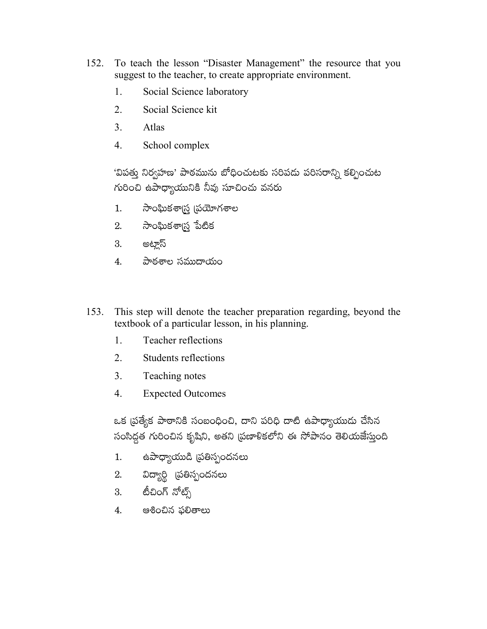- To teach the lesson "Disaster Management" the resource that you 152. suggest to the teacher, to create appropriate environment.
	- 1. Social Science laboratory
	- $\overline{2}$ . Social Science kit
	- $3<sub>1</sub>$ Atlas
	- $\overline{4}$ . School complex

'విపత్తు నిర్వహణ' పాఠమును బోధించుటకు సరిపదు పరిసరాన్ని కల్పించుట గురించి ఉపాధ్యాయునికి నీవు సూచించు వనరు

- సాంఘికశా్న (పయోగశాల 1.
- 
- 3. అట్లాస్
- 4. పాఠశాల సముదాయం
- This step will denote the teacher preparation regarding, beyond the 153. textbook of a particular lesson, in his planning.
	- $1.$ **Teacher reflections**
	- 2. Students reflections
	- $3<sub>1</sub>$ Teaching notes
	- $\overline{4}$ . **Expected Outcomes**

ఒక ప్రత్యేక పాఠానికి సంబంధించి, దాని పరిధి దాటి ఉపాధ్యాయుదు చేసిన సంసిద్ధత గురించిన కృషిని, అతని (పణాళికలోని ఈ సోపానం తెలియజేస్తుంది

- ఉపాధ్యాయుడి (పతిస్పందనలు  $1.$
- 2. విద్యార్థి (పతిస్పందనలు
- 3. టీచింగ్ నోట్స్
- 4. ఆశించిన ఫలితాలు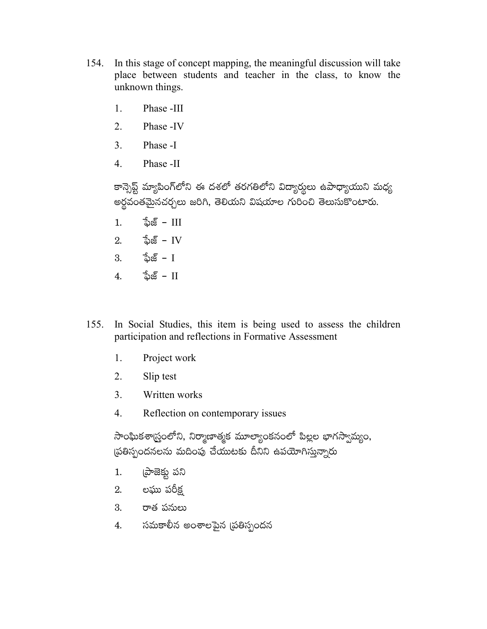- 154. In this stage of concept mapping, the meaningful discussion will take place between students and teacher in the class, to know the unknown things.
	- 1. Phase -III
	- $\overline{2}$ . Phase -IV
	- $3<sub>1</sub>$ Phase -I
	- $\overline{4}$ Phase -II

కాన్సెప్ట్ మ్యాపింగ్లోని ఈ దశలో తరగతిలోని విద్యార్థులు ఉపాధ్యాయుని మధ్య అర్థవంతమైనచర్చలు జరిగి, తెలియని విషయాల గురించి తెలుసుకొంటారు.

- $1.$   $\frac{1}{2}$  $\frac{1}{2}$  $\frac{1}{2}$  $\frac{1}{2}$
- 2.  $\frac{1}{2} \infty$  TV
- $3. \qquad \frac{1}{2} \infty 1$
- 4.  $\frac{1}{2} \infty$   $\frac{1}{2}$   $\frac{1}{2}$   $\frac{1}{2}$   $\frac{1}{2}$   $\frac{1}{2}$   $\frac{1}{2}$   $\frac{1}{2}$   $\frac{1}{2}$   $\frac{1}{2}$   $\frac{1}{2}$   $\frac{1}{2}$   $\frac{1}{2}$   $\frac{1}{2}$   $\frac{1}{2}$   $\frac{1}{2}$   $\frac{1}{2}$   $\frac{1}{2}$   $\frac{1}{2}$   $\frac{1}{2}$   $\frac{1}{2}$   $\frac{1$
- $155.$ In Social Studies, this item is being used to assess the children participation and reflections in Formative Assessment
	- 1. Project work
	- 2. Slip test
	- $3<sub>1</sub>$ Written works
	- $\overline{4}$ . Reflection on contemporary issues

సాంఘికశాద్రంలోని, నిర్మాణాత్మక మూల్యాంకనంలో పిల్లల భాగస్వామ్యం, ప్రతిస్పందనలను మదింపు చేయుటకు దీనిని ఉపయోగిస్తున్నారు

- ప్రాజెక్టు పని  $1.$
- 2. లఘు పరీక్ష
- 3. రాత పనులు
- సమకాలీన అంశాలపైన (ప్రతిస్పందన 4.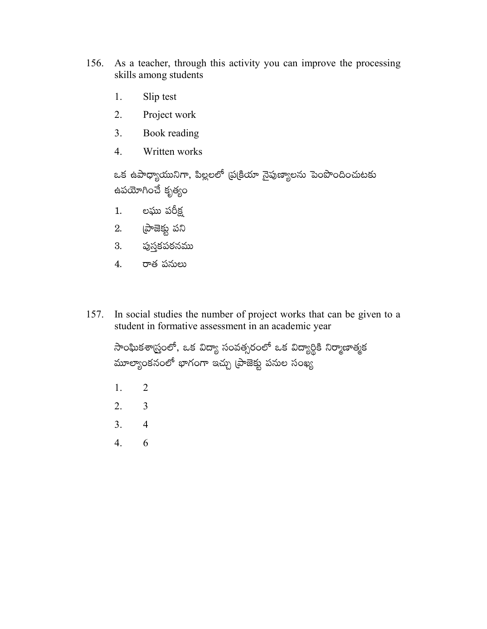- As a teacher, through this activity you can improve the processing 156. skills among students
	- Slip test 1.
	- $2<sub>1</sub>$ Project work
	- $3.$ Book reading
	- $\overline{4}$ . Written works

ఒక ఉపాధ్యాయునిగా, పిల్లలలో ప్రక్రియా నైపుణ్యాలను పెంపొందించుటకు ఉపయోగించే కృత్యం

- లఘు పరీక్ష  $1.$
- $2.$  (పాజెక్టు పని
- 3. పుస్తకపఠనము
- 4. రాత పనులు
- 157. In social studies the number of project works that can be given to a student in formative assessment in an academic year

సాంఘికశాస్ర్తంలో, ఒక విద్యా సంవత్సరంలో ఒక విద్యార్థికి నిర్మాణాత్మక మూల్యాంకనంలో భాగంగా ఇచ్చు (పాజెక్టు పనుల సంఖ్య

- 1.  $\overline{2}$
- $2.$  $\overline{3}$
- $3<sub>1</sub>$  $\overline{4}$
- $\overline{4}$ . 6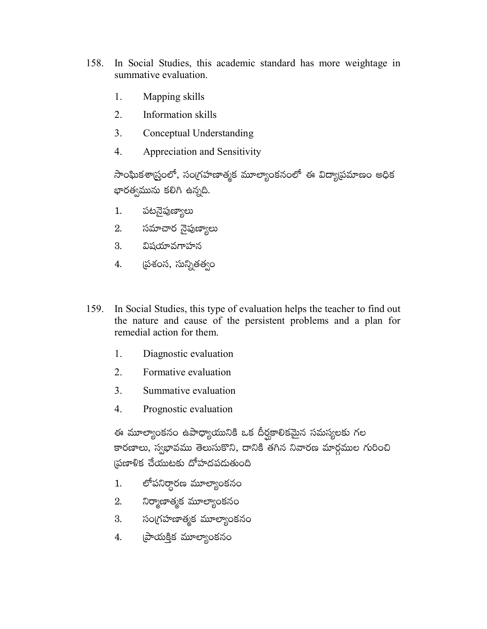- 158. In Social Studies, this academic standard has more weightage in summative evaluation.
	- 1. Mapping skills
	- $2<sub>1</sub>$ Information skills
	- $3<sub>1</sub>$ Conceptual Understanding
	- 4. Appreciation and Sensitivity

సాంఘికశాస్ర్రంలో, సంగ్రహణాత్మక మూల్యాంకనంలో ఈ విద్యాపమాణం అధిక భారత్వమును కలిగి ఉన్నది.

- పటనైపుణ్యాలు  $1.$
- 2. సమాచార నైపుణ్యాలు
- 3. విషయావగాహన
- 4. ప్రశంస, సున్నితత్వం
- 159. In Social Studies, this type of evaluation helps the teacher to find out the nature and cause of the persistent problems and a plan for remedial action for them.
	- 1. Diagnostic evaluation
	- $2<sub>1</sub>$ Formative evaluation
	- $\mathcal{E}$ Summative evaluation
	- $\overline{4}$ . Prognostic evaluation

ఈ మూల్యాంకనం ఉపాధ్యాయునికి ఒక దీర్ఘకాలికమైన సమస్యలకు గల కారణాలు, స్వభావము తెలుసుకొని, దానికి తగిన నివారణ మార్గముల గురించి ౹పణాళిక చేయుటకు దోహదపడుతుంది

- లోపనిర్ధారణ మూల్యాంకనం  $1.$
- నిర్మాణాత్మక మూల్యాంకనం 2.
- సంగ్రహణాత్మక మూల్యాంకనం 3.
- 4. బ్రాయక్తిక మూల్యాంకనం